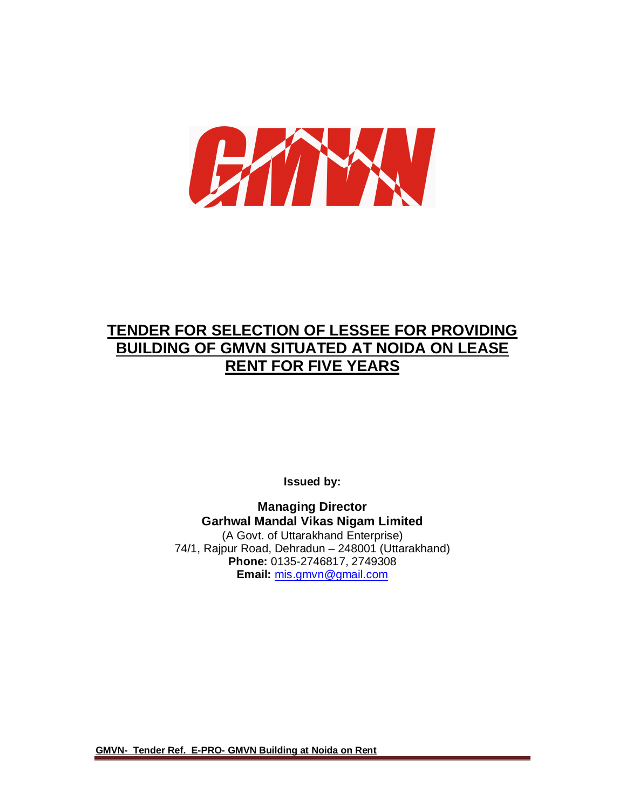

# **TENDER FOR SELECTION OF LESSEE FOR PROVIDING BUILDING OF GMVN SITUATED AT NOIDA ON LEASE RENT FOR FIVE YEARS**

**Issued by:**

**Managing Director Garhwal Mandal Vikas Nigam Limited** (A Govt. of Uttarakhand Enterprise) 74/1, Rajpur Road, Dehradun – 248001 (Uttarakhand) **Phone:** 0135-2746817, 2749308 **Email:** mis.gmvn@gmail.com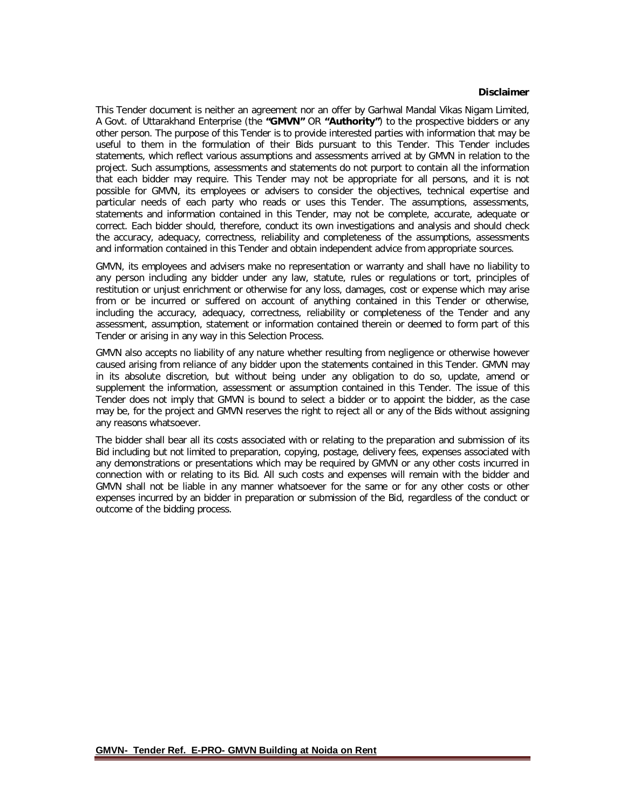#### **Disclaimer**

This Tender document is neither an agreement nor an offer by Garhwal Mandal Vikas Nigam Limited, A Govt. of Uttarakhand Enterprise (the **"GMVN"** OR **"Authority"**) to the prospective bidders or any other person. The purpose of this Tender is to provide interested parties with information that may be useful to them in the formulation of their Bids pursuant to this Tender. This Tender includes statements, which reflect various assumptions and assessments arrived at by GMVN in relation to the project. Such assumptions, assessments and statements do not purport to contain all the information that each bidder may require. This Tender may not be appropriate for all persons, and it is not possible for GMVN, its employees or advisers to consider the objectives, technical expertise and particular needs of each party who reads or uses this Tender. The assumptions, assessments, statements and information contained in this Tender, may not be complete, accurate, adequate or correct. Each bidder should, therefore, conduct its own investigations and analysis and should check the accuracy, adequacy, correctness, reliability and completeness of the assumptions, assessments and information contained in this Tender and obtain independent advice from appropriate sources.

GMVN, its employees and advisers make no representation or warranty and shall have no liability to any person including any bidder under any law, statute, rules or regulations or tort, principles of restitution or unjust enrichment or otherwise for any loss, damages, cost or expense which may arise from or be incurred or suffered on account of anything contained in this Tender or otherwise, including the accuracy, adequacy, correctness, reliability or completeness of the Tender and any assessment, assumption, statement or information contained therein or deemed to form part of this Tender or arising in any way in this Selection Process.

GMVN also accepts no liability of any nature whether resulting from negligence or otherwise however caused arising from reliance of any bidder upon the statements contained in this Tender. GMVN may in its absolute discretion, but without being under any obligation to do so, update, amend or supplement the information, assessment or assumption contained in this Tender. The issue of this Tender does not imply that GMVN is bound to select a bidder or to appoint the bidder, as the case may be, for the project and GMVN reserves the right to reject all or any of the Bids without assigning any reasons whatsoever.

The bidder shall bear all its costs associated with or relating to the preparation and submission of its Bid including but not limited to preparation, copying, postage, delivery fees, expenses associated with any demonstrations or presentations which may be required by GMVN or any other costs incurred in connection with or relating to its Bid. All such costs and expenses will remain with the bidder and GMVN shall not be liable in any manner whatsoever for the same or for any other costs or other expenses incurred by an bidder in preparation or submission of the Bid, regardless of the conduct or outcome of the bidding process.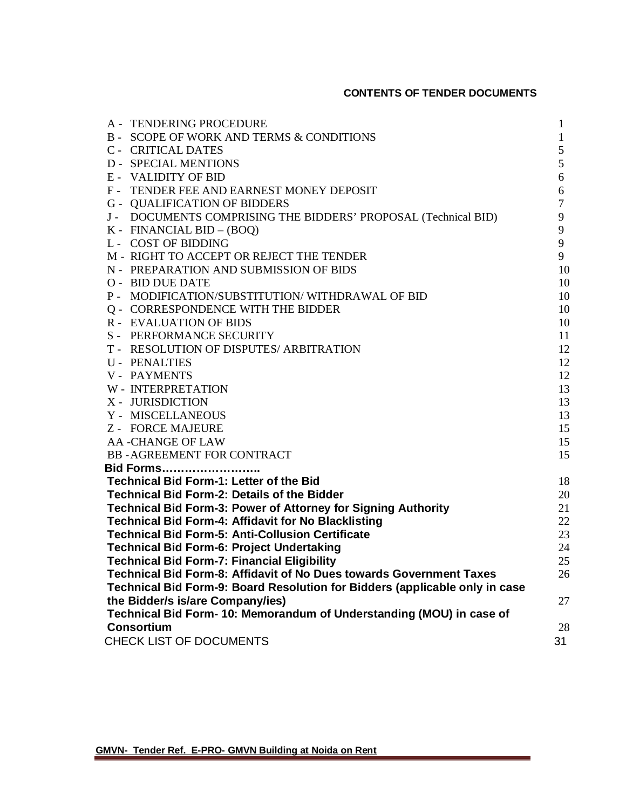## **CONTENTS OF TENDER DOCUMENTS**

| A - TENDERING PROCEDURE                                                                                                     | $\mathbf{1}$   |
|-----------------------------------------------------------------------------------------------------------------------------|----------------|
| <b>B- SCOPE OF WORK AND TERMS &amp; CONDITIONS</b>                                                                          | $\mathbf{1}$   |
| <b>C- CRITICAL DATES</b>                                                                                                    | 5              |
| <b>D - SPECIAL MENTIONS</b>                                                                                                 | 5              |
| <b>E- VALIDITY OF BID</b>                                                                                                   | 6              |
| F - TENDER FEE AND EARNEST MONEY DEPOSIT                                                                                    | 6              |
| <b>G - QUALIFICATION OF BIDDERS</b>                                                                                         | $\overline{7}$ |
| J - DOCUMENTS COMPRISING THE BIDDERS' PROPOSAL (Technical BID)                                                              | 9              |
| K - FINANCIAL BID - (BOQ)                                                                                                   | 9              |
| <b>L- COST OF BIDDING</b>                                                                                                   | 9              |
| M - RIGHT TO ACCEPT OR REJECT THE TENDER                                                                                    | 9              |
| N - PREPARATION AND SUBMISSION OF BIDS                                                                                      | 10             |
| <b>O- BID DUE DATE</b>                                                                                                      | 10             |
| P - MODIFICATION/SUBSTITUTION/WITHDRAWAL OF BID                                                                             | 10             |
| Q - CORRESPONDENCE WITH THE BIDDER                                                                                          | 10             |
| <b>R - EVALUATION OF BIDS</b>                                                                                               | 10             |
| S - PERFORMANCE SECURITY                                                                                                    | 11             |
| T - RESOLUTION OF DISPUTES/ ARBITRATION                                                                                     | 12             |
| <b>U- PENALTIES</b>                                                                                                         | 12             |
| <b>V- PAYMENTS</b>                                                                                                          | 12             |
| <b>W-INTERPRETATION</b>                                                                                                     | 13             |
| X - JURISDICTION                                                                                                            | 13             |
| Y - MISCELLANEOUS                                                                                                           | 13             |
| Z - FORCE MAJEURE                                                                                                           | 15             |
| <b>AA-CHANGE OF LAW</b>                                                                                                     | 15             |
| <b>BB-AGREEMENT FOR CONTRACT</b>                                                                                            | 15             |
| <u>Bid Forms</u>                                                                                                            |                |
| <b>Technical Bid Form-1: Letter of the Bid</b>                                                                              | 18             |
| <b>Technical Bid Form-2: Details of the Bidder</b>                                                                          | 20<br>21       |
| Technical Bid Form-3: Power of Attorney for Signing Authority<br><b>Technical Bid Form-4: Affidavit for No Blacklisting</b> | 22             |
| <b>Technical Bid Form-5: Anti-Collusion Certificate</b>                                                                     | 23             |
| <b>Technical Bid Form-6: Project Undertaking</b>                                                                            | 24             |
| <b>Technical Bid Form-7: Financial Eligibility</b>                                                                          | 25             |
| Technical Bid Form-8: Affidavit of No Dues towards Government Taxes                                                         | 26             |
| Technical Bid Form-9: Board Resolution for Bidders (applicable only in case                                                 |                |
| the Bidder/s is/are Company/ies)                                                                                            | 27             |
| Technical Bid Form- 10: Memorandum of Understanding (MOU) in case of                                                        |                |
| <b>Consortium</b>                                                                                                           | 28             |
| CHECK LIST OF DOCUMENTS                                                                                                     | 31             |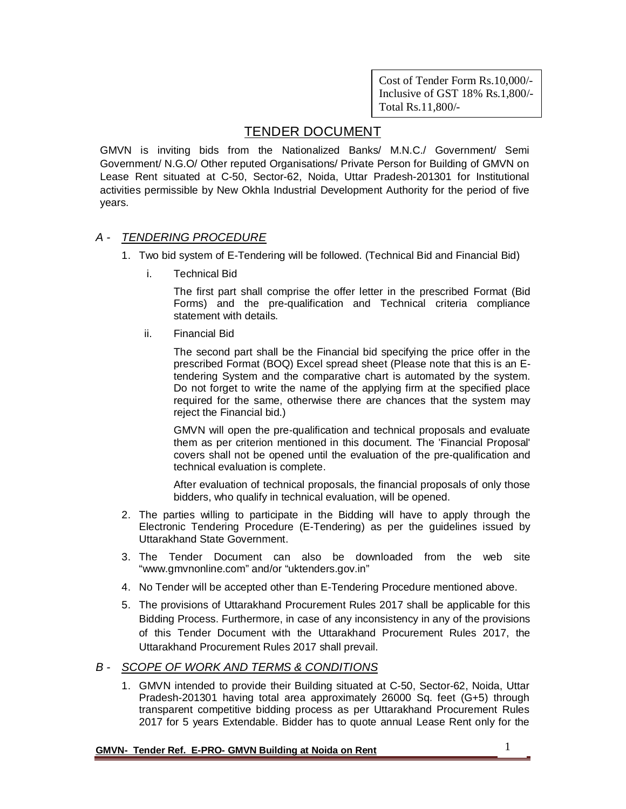Cost of Tender Form Rs.10,000/- Inclusive of GST 18% Rs.1,800/- Total Rs.11,800/-

## TENDER DOCUMENT

GMVN is inviting bids from the Nationalized Banks/ M.N.C./ Government/ Semi Government/ N.G.O/ Other reputed Organisations/ Private Person for Building of GMVN on Lease Rent situated at C-50, Sector-62, Noida, Uttar Pradesh-201301 for Institutional activities permissible by New Okhla Industrial Development Authority for the period of five years.

## *A - TENDERING PROCEDURE*

- 1. Two bid system of E-Tendering will be followed. (Technical Bid and Financial Bid)
	- i. Technical Bid

The first part shall comprise the offer letter in the prescribed Format (Bid Forms) and the pre-qualification and Technical criteria compliance statement with details.

ii. Financial Bid

The second part shall be the Financial bid specifying the price offer in the prescribed Format (BOQ) Excel spread sheet (Please note that this is an Etendering System and the comparative chart is automated by the system. Do not forget to write the name of the applying firm at the specified place required for the same, otherwise there are chances that the system may reject the Financial bid.)

GMVN will open the pre-qualification and technical proposals and evaluate them as per criterion mentioned in this document. The 'Financial Proposal' covers shall not be opened until the evaluation of the pre-qualification and technical evaluation is complete.

After evaluation of technical proposals, the financial proposals of only those bidders, who qualify in technical evaluation, will be opened.

- 2. The parties willing to participate in the Bidding will have to apply through the Electronic Tendering Procedure (E-Tendering) as per the guidelines issued by Uttarakhand State Government.
- 3. The Tender Document can also be downloaded from the web site "www.gmvnonline.com" and/or "uktenders.gov.in"
- 4. No Tender will be accepted other than E-Tendering Procedure mentioned above.
- 5. The provisions of Uttarakhand Procurement Rules 2017 shall be applicable for this Bidding Process. Furthermore, in case of any inconsistency in any of the provisions of this Tender Document with the Uttarakhand Procurement Rules 2017, the Uttarakhand Procurement Rules 2017 shall prevail.

## *B - SCOPE OF WORK AND TERMS & CONDITIONS*

1. GMVN intended to provide their Building situated at C-50, Sector-62, Noida, Uttar Pradesh-201301 having total area approximately 26000 Sq. feet (G+5) through transparent competitive bidding process as per Uttarakhand Procurement Rules 2017 for 5 years Extendable. Bidder has to quote annual Lease Rent only for the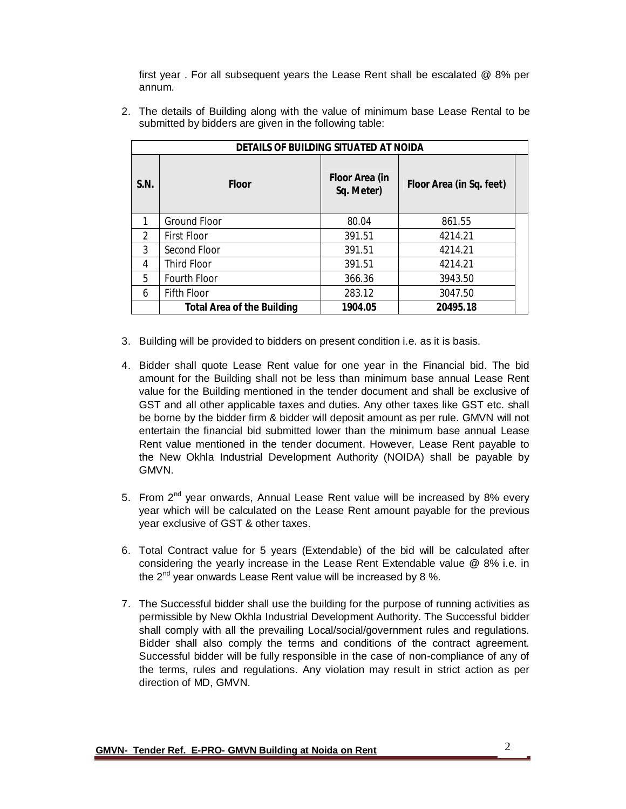first year . For all subsequent years the Lease Rent shall be escalated @ 8% per annum.

2. The details of Building along with the value of minimum base Lease Rental to be submitted by bidders are given in the following table:

| DETAILS OF BUILDING SITUATED AT NOIDA |                                   |                                     |                          |  |
|---------------------------------------|-----------------------------------|-------------------------------------|--------------------------|--|
| S.N.                                  | <b>Floor</b>                      | <b>Floor Area (in</b><br>Sq. Meter) | Floor Area (in Sq. feet) |  |
| 1                                     | <b>Ground Floor</b>               | 80.04                               | 861.55                   |  |
| $\mathcal{P}$                         | <b>First Floor</b>                | 391.51                              | 4214.21                  |  |
| 3                                     | Second Floor                      | 391.51                              | 4214.21                  |  |
| 4                                     | Third Floor                       | 391.51                              | 4214.21                  |  |
| 5                                     | Fourth Floor                      | 366.36                              | 3943.50                  |  |
| 6                                     | <b>Fifth Floor</b>                | 283.12                              | 3047.50                  |  |
|                                       | <b>Total Area of the Building</b> | 1904.05                             | 20495.18                 |  |

- 3. Building will be provided to bidders on present condition i.e. as it is basis.
- 4. Bidder shall quote Lease Rent value for one year in the Financial bid. The bid amount for the Building shall not be less than minimum base annual Lease Rent value for the Building mentioned in the tender document and shall be exclusive of GST and all other applicable taxes and duties. Any other taxes like GST etc. shall be borne by the bidder firm & bidder will deposit amount as per rule. GMVN will not entertain the financial bid submitted lower than the minimum base annual Lease Rent value mentioned in the tender document. However, Lease Rent payable to the New Okhla Industrial Development Authority (NOIDA) shall be payable by GMVN.
- 5. From 2<sup>nd</sup> year onwards, Annual Lease Rent value will be increased by 8% every year which will be calculated on the Lease Rent amount payable for the previous year exclusive of GST & other taxes.
- 6. Total Contract value for 5 years (Extendable) of the bid will be calculated after considering the yearly increase in the Lease Rent Extendable value @ 8% i.e. in the  $2^{nd}$  year onwards Lease Rent value will be increased by 8 %.
- 7. The Successful bidder shall use the building for the purpose of running activities as permissible by New Okhla Industrial Development Authority. The Successful bidder shall comply with all the prevailing Local/social/government rules and regulations. Bidder shall also comply the terms and conditions of the contract agreement. Successful bidder will be fully responsible in the case of non-compliance of any of the terms, rules and regulations. Any violation may result in strict action as per direction of MD, GMVN.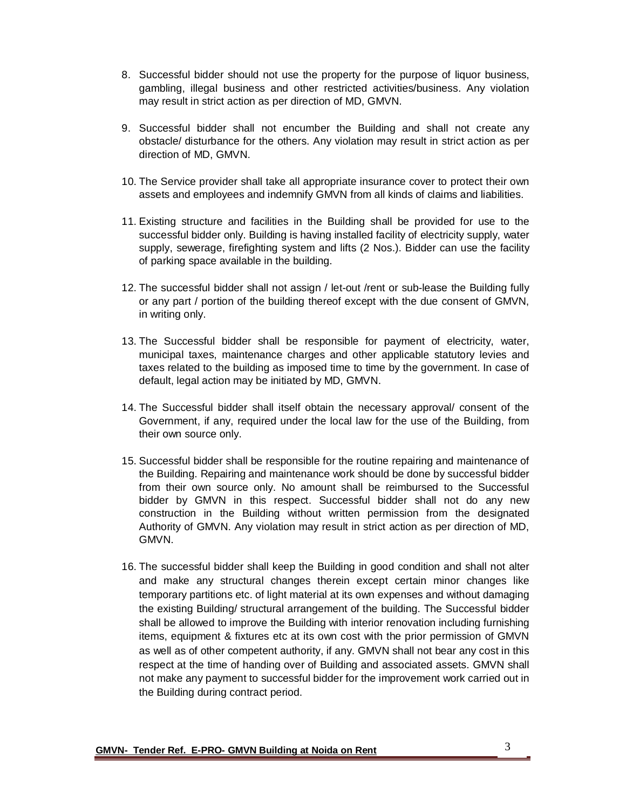- 8. Successful bidder should not use the property for the purpose of liquor business, gambling, illegal business and other restricted activities/business. Any violation may result in strict action as per direction of MD, GMVN.
- 9. Successful bidder shall not encumber the Building and shall not create any obstacle/ disturbance for the others. Any violation may result in strict action as per direction of MD, GMVN.
- 10. The Service provider shall take all appropriate insurance cover to protect their own assets and employees and indemnify GMVN from all kinds of claims and liabilities.
- 11. Existing structure and facilities in the Building shall be provided for use to the successful bidder only. Building is having installed facility of electricity supply, water supply, sewerage, firefighting system and lifts (2 Nos.). Bidder can use the facility of parking space available in the building.
- 12. The successful bidder shall not assign / let-out /rent or sub-lease the Building fully or any part / portion of the building thereof except with the due consent of GMVN, in writing only.
- 13. The Successful bidder shall be responsible for payment of electricity, water, municipal taxes, maintenance charges and other applicable statutory levies and taxes related to the building as imposed time to time by the government. In case of default, legal action may be initiated by MD, GMVN.
- 14. The Successful bidder shall itself obtain the necessary approval/ consent of the Government, if any, required under the local law for the use of the Building, from their own source only.
- 15. Successful bidder shall be responsible for the routine repairing and maintenance of the Building. Repairing and maintenance work should be done by successful bidder from their own source only. No amount shall be reimbursed to the Successful bidder by GMVN in this respect. Successful bidder shall not do any new construction in the Building without written permission from the designated Authority of GMVN. Any violation may result in strict action as per direction of MD, GMVN.
- 16. The successful bidder shall keep the Building in good condition and shall not alter and make any structural changes therein except certain minor changes like temporary partitions etc. of light material at its own expenses and without damaging the existing Building/ structural arrangement of the building. The Successful bidder shall be allowed to improve the Building with interior renovation including furnishing items, equipment & fixtures etc at its own cost with the prior permission of GMVN as well as of other competent authority, if any. GMVN shall not bear any cost in this respect at the time of handing over of Building and associated assets. GMVN shall not make any payment to successful bidder for the improvement work carried out in the Building during contract period.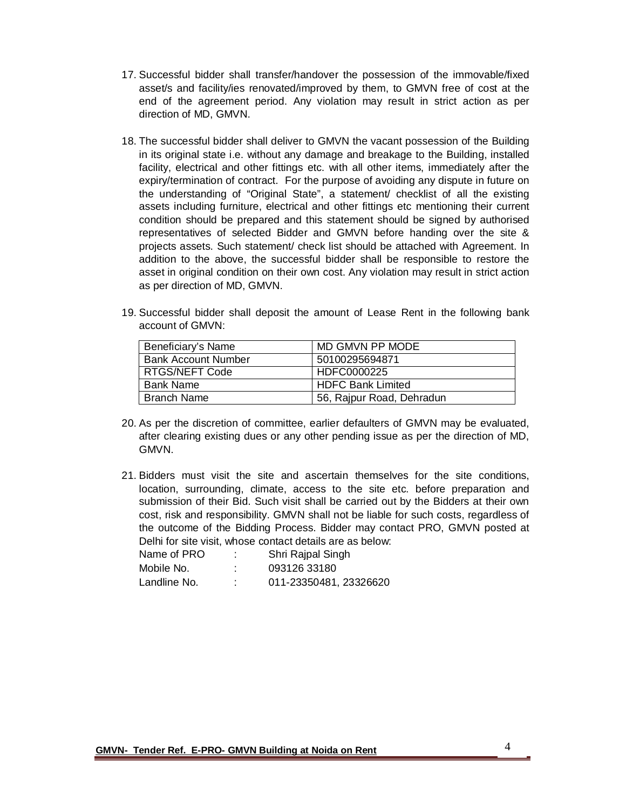- 17. Successful bidder shall transfer/handover the possession of the immovable/fixed asset/s and facility/ies renovated/improved by them, to GMVN free of cost at the end of the agreement period. Any violation may result in strict action as per direction of MD, GMVN.
- 18. The successful bidder shall deliver to GMVN the vacant possession of the Building in its original state i.e. without any damage and breakage to the Building, installed facility, electrical and other fittings etc. with all other items, immediately after the expiry/termination of contract. For the purpose of avoiding any dispute in future on the understanding of "Original State", a statement/ checklist of all the existing assets including furniture, electrical and other fittings etc mentioning their current condition should be prepared and this statement should be signed by authorised representatives of selected Bidder and GMVN before handing over the site & projects assets. Such statement/ check list should be attached with Agreement. In addition to the above, the successful bidder shall be responsible to restore the asset in original condition on their own cost. Any violation may result in strict action as per direction of MD, GMVN.
- 19. Successful bidder shall deposit the amount of Lease Rent in the following bank account of GMVN:

| Beneficiary's Name         | MD GMVN PP MODE           |
|----------------------------|---------------------------|
| <b>Bank Account Number</b> | 50100295694871            |
| <b>RTGS/NEFT Code</b>      | HDFC0000225               |
| <b>Bank Name</b>           | <b>HDFC Bank Limited</b>  |
| <b>Branch Name</b>         | 56, Rajpur Road, Dehradun |

- 20. As per the discretion of committee, earlier defaulters of GMVN may be evaluated, after clearing existing dues or any other pending issue as per the direction of MD, GMVN.
- 21. Bidders must visit the site and ascertain themselves for the site conditions, location, surrounding, climate, access to the site etc. before preparation and submission of their Bid. Such visit shall be carried out by the Bidders at their own cost, risk and responsibility. GMVN shall not be liable for such costs, regardless of the outcome of the Bidding Process. Bidder may contact PRO, GMVN posted at Delhi for site visit, whose contact details are as below:

| Name of PRO  | ٠                   | Shri Rajpal Singh      |
|--------------|---------------------|------------------------|
| Mobile No.   | ٠<br>$\blacksquare$ | 093126 33180           |
| Landline No. | $\cdot$             | 011-23350481, 23326620 |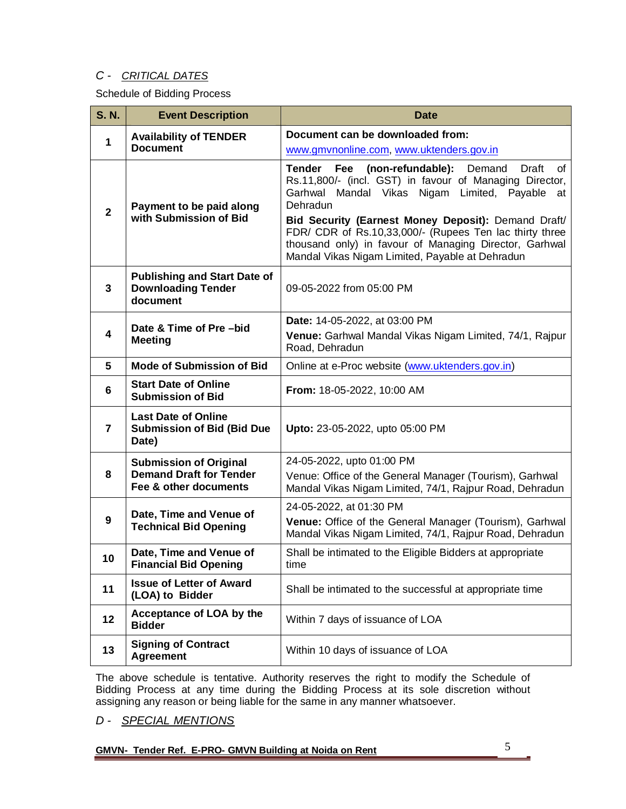## *C - CRITICAL DATES*

Schedule of Bidding Process

| <b>S. N.</b>   | <b>Event Description</b>                                                     | <b>Date</b>                                                                                                                                                                                                                                                                                                                                                                                                                   |
|----------------|------------------------------------------------------------------------------|-------------------------------------------------------------------------------------------------------------------------------------------------------------------------------------------------------------------------------------------------------------------------------------------------------------------------------------------------------------------------------------------------------------------------------|
|                | <b>Availability of TENDER</b>                                                | Document can be downloaded from:                                                                                                                                                                                                                                                                                                                                                                                              |
| 1              | <b>Document</b>                                                              | www.gmvnonline.com, www.uktenders.gov.in                                                                                                                                                                                                                                                                                                                                                                                      |
| $\overline{2}$ | Payment to be paid along<br>with Submission of Bid                           | <b>Tender</b><br>Fee<br>(non-refundable):<br>Demand<br>Draft<br>of<br>Rs.11,800/- (incl. GST) in favour of Managing Director,<br>Garhwal Mandal Vikas Nigam Limited, Payable<br>at<br>Dehradun<br>Bid Security (Earnest Money Deposit): Demand Draft/<br>FDR/ CDR of Rs.10,33,000/- (Rupees Ten lac thirty three<br>thousand only) in favour of Managing Director, Garhwal<br>Mandal Vikas Nigam Limited, Payable at Dehradun |
| 3              | <b>Publishing and Start Date of</b><br><b>Downloading Tender</b><br>document | 09-05-2022 from 05:00 PM                                                                                                                                                                                                                                                                                                                                                                                                      |
| 4              | Date & Time of Pre-bid                                                       | Date: 14-05-2022, at 03:00 PM                                                                                                                                                                                                                                                                                                                                                                                                 |
|                | <b>Meeting</b>                                                               | Venue: Garhwal Mandal Vikas Nigam Limited, 74/1, Rajpur<br>Road, Dehradun                                                                                                                                                                                                                                                                                                                                                     |
| 5              | <b>Mode of Submission of Bid</b>                                             | Online at e-Proc website (www.uktenders.gov.in)                                                                                                                                                                                                                                                                                                                                                                               |
| 6              | <b>Start Date of Online</b><br><b>Submission of Bid</b>                      | From: 18-05-2022, 10:00 AM                                                                                                                                                                                                                                                                                                                                                                                                    |
| 7              | <b>Last Date of Online</b><br><b>Submission of Bid (Bid Due</b><br>Date)     | Upto: 23-05-2022, upto 05:00 PM                                                                                                                                                                                                                                                                                                                                                                                               |
|                | <b>Submission of Original</b>                                                | 24-05-2022, upto 01:00 PM                                                                                                                                                                                                                                                                                                                                                                                                     |
| 8              | <b>Demand Draft for Tender</b><br>Fee & other documents                      | Venue: Office of the General Manager (Tourism), Garhwal<br>Mandal Vikas Nigam Limited, 74/1, Rajpur Road, Dehradun                                                                                                                                                                                                                                                                                                            |
|                | Date, Time and Venue of                                                      | 24-05-2022, at 01:30 PM                                                                                                                                                                                                                                                                                                                                                                                                       |
| 9              | <b>Technical Bid Opening</b>                                                 | Venue: Office of the General Manager (Tourism), Garhwal<br>Mandal Vikas Nigam Limited, 74/1, Rajpur Road, Dehradun                                                                                                                                                                                                                                                                                                            |
| 10             | Date, Time and Venue of<br><b>Financial Bid Opening</b>                      | Shall be intimated to the Eligible Bidders at appropriate<br>time                                                                                                                                                                                                                                                                                                                                                             |
| 11             | <b>Issue of Letter of Award</b><br>(LOA) to Bidder                           | Shall be intimated to the successful at appropriate time                                                                                                                                                                                                                                                                                                                                                                      |
| 12             | Acceptance of LOA by the<br><b>Bidder</b>                                    | Within 7 days of issuance of LOA                                                                                                                                                                                                                                                                                                                                                                                              |
| 13             | <b>Signing of Contract</b><br><b>Agreement</b>                               | Within 10 days of issuance of LOA                                                                                                                                                                                                                                                                                                                                                                                             |

The above schedule is tentative. Authority reserves the right to modify the Schedule of Bidding Process at any time during the Bidding Process at its sole discretion without assigning any reason or being liable for the same in any manner whatsoever.

*D - SPECIAL MENTIONS*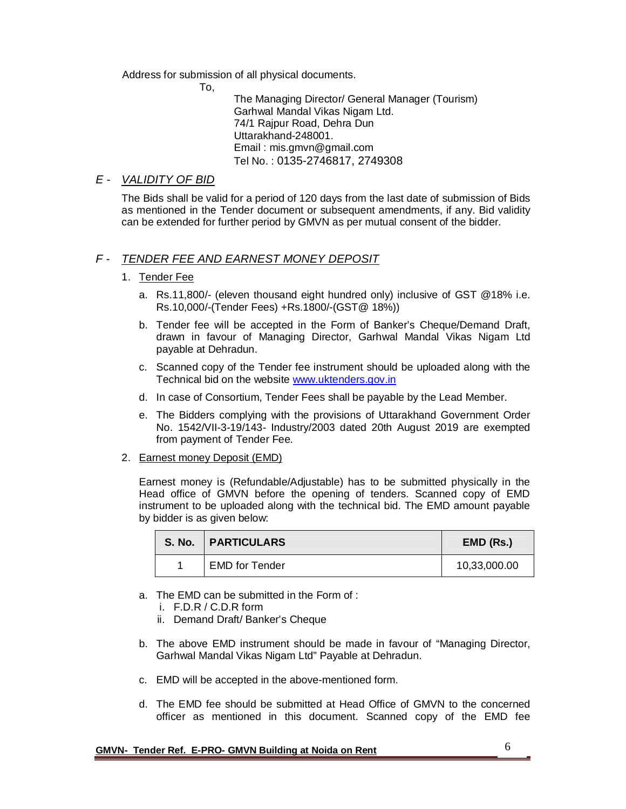Address for submission of all physical documents.

To,

The Managing Director/ General Manager (Tourism) Garhwal Mandal Vikas Nigam Ltd. 74/1 Rajpur Road, Dehra Dun Uttarakhand-248001. Email : mis.gmvn@gmail.com Tel No. : 0135-2746817, 2749308

## *E - VALIDITY OF BID*

The Bids shall be valid for a period of 120 days from the last date of submission of Bids as mentioned in the Tender document or subsequent amendments, if any. Bid validity can be extended for further period by GMVN as per mutual consent of the bidder.

## *F - TENDER FEE AND EARNEST MONEY DEPOSIT*

### 1. Tender Fee

- a. Rs.11,800/- (eleven thousand eight hundred only) inclusive of GST @18% i.e. Rs.10,000/-(Tender Fees) +Rs.1800/-(GST@ 18%))
- b. Tender fee will be accepted in the Form of Banker's Cheque/Demand Draft, drawn in favour of Managing Director, Garhwal Mandal Vikas Nigam Ltd payable at Dehradun.
- c. Scanned copy of the Tender fee instrument should be uploaded along with the Technical bid on the website www.uktenders.gov.in
- d. In case of Consortium, Tender Fees shall be payable by the Lead Member.
- e. The Bidders complying with the provisions of Uttarakhand Government Order No. 1542/VII-3-19/143- Industry/2003 dated 20th August 2019 are exempted from payment of Tender Fee.
- 2. Earnest money Deposit (EMD)

Earnest money is (Refundable/Adjustable) has to be submitted physically in the Head office of GMVN before the opening of tenders. Scanned copy of EMD instrument to be uploaded along with the technical bid. The EMD amount payable by bidder is as given below:

| <b>S. No.</b> | <b>PARTICULARS</b>    | EMD (Rs.)    |
|---------------|-----------------------|--------------|
|               | <b>EMD for Tender</b> | 10,33,000.00 |

- a. The EMD can be submitted in the Form of :
	- i. F.D.R / C.D.R form
	- ii. Demand Draft/ Banker's Cheque
- b. The above EMD instrument should be made in favour of "Managing Director, Garhwal Mandal Vikas Nigam Ltd" Payable at Dehradun.
- c. EMD will be accepted in the above-mentioned form.
- d. The EMD fee should be submitted at Head Office of GMVN to the concerned officer as mentioned in this document. Scanned copy of the EMD fee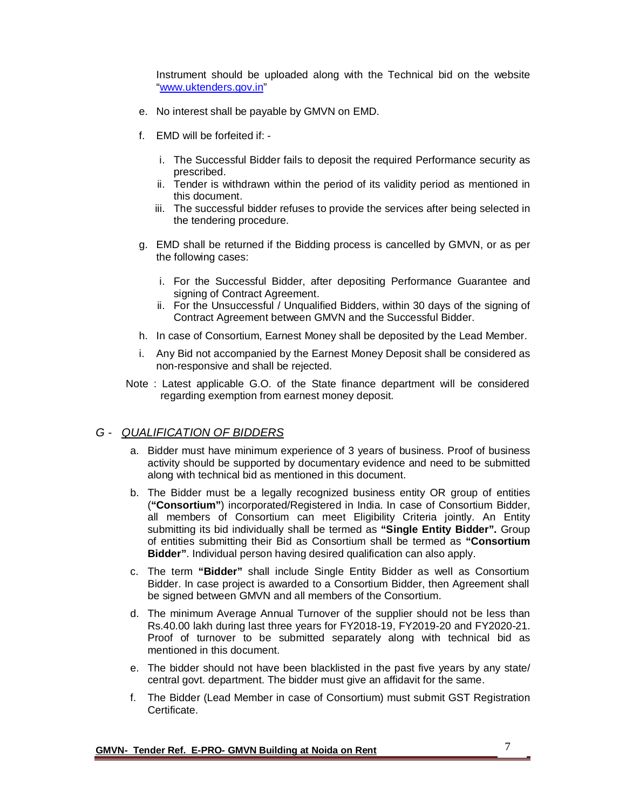Instrument should be uploaded along with the Technical bid on the website "www.uktenders.gov.in"

- e. No interest shall be payable by GMVN on EMD.
- f. EMD will be forfeited if:
	- i. The Successful Bidder fails to deposit the required Performance security as prescribed.
	- ii. Tender is withdrawn within the period of its validity period as mentioned in this document.
	- iii. The successful bidder refuses to provide the services after being selected in the tendering procedure.
- g. EMD shall be returned if the Bidding process is cancelled by GMVN, or as per the following cases:
	- i. For the Successful Bidder, after depositing Performance Guarantee and signing of Contract Agreement.
	- ii. For the Unsuccessful / Unqualified Bidders, within 30 days of the signing of Contract Agreement between GMVN and the Successful Bidder.
- h. In case of Consortium, Earnest Money shall be deposited by the Lead Member.
- i. Any Bid not accompanied by the Earnest Money Deposit shall be considered as non-responsive and shall be rejected.
- Note : Latest applicable G.O. of the State finance department will be considered regarding exemption from earnest money deposit.

### *G - QUALIFICATION OF BIDDERS*

- a. Bidder must have minimum experience of 3 years of business. Proof of business activity should be supported by documentary evidence and need to be submitted along with technical bid as mentioned in this document.
- b. The Bidder must be a legally recognized business entity OR group of entities (**"Consortium"**) incorporated/Registered in India. In case of Consortium Bidder, all members of Consortium can meet Eligibility Criteria jointly. An Entity submitting its bid individually shall be termed as **"Single Entity Bidder".** Group of entities submitting their Bid as Consortium shall be termed as **"Consortium Bidder"**. Individual person having desired qualification can also apply.
- c. The term **"Bidder"** shall include Single Entity Bidder as well as Consortium Bidder. In case project is awarded to a Consortium Bidder, then Agreement shall be signed between GMVN and all members of the Consortium.
- d. The minimum Average Annual Turnover of the supplier should not be less than Rs.40.00 lakh during last three years for FY2018-19, FY2019-20 and FY2020-21. Proof of turnover to be submitted separately along with technical bid as mentioned in this document.
- e. The bidder should not have been blacklisted in the past five years by any state/ central govt. department. The bidder must give an affidavit for the same.
- f. The Bidder (Lead Member in case of Consortium) must submit GST Registration Certificate.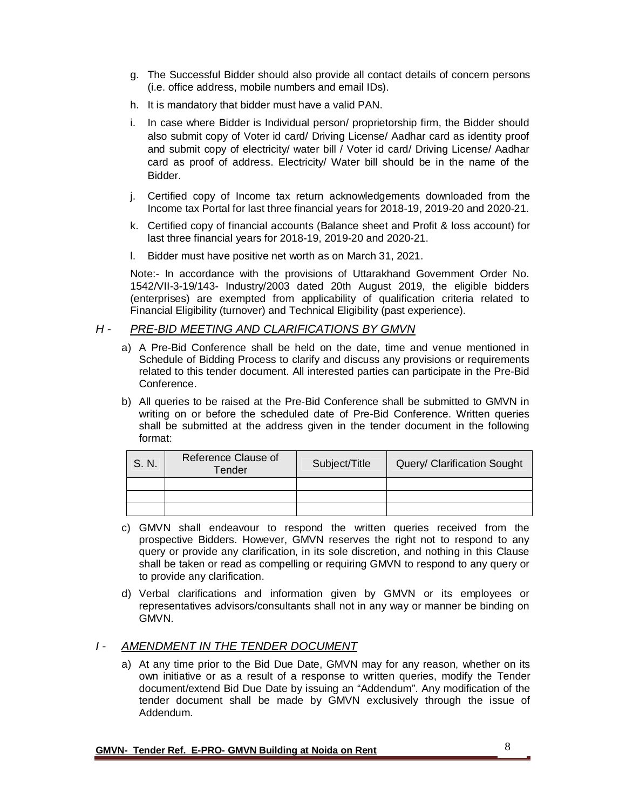- g. The Successful Bidder should also provide all contact details of concern persons (i.e. office address, mobile numbers and email IDs).
- h. It is mandatory that bidder must have a valid PAN.
- i. In case where Bidder is Individual person/ proprietorship firm, the Bidder should also submit copy of Voter id card/ Driving License/ Aadhar card as identity proof and submit copy of electricity/ water bill / Voter id card/ Driving License/ Aadhar card as proof of address. Electricity/ Water bill should be in the name of the Bidder.
- j. Certified copy of Income tax return acknowledgements downloaded from the Income tax Portal for last three financial years for 2018-19, 2019-20 and 2020-21.
- k. Certified copy of financial accounts (Balance sheet and Profit & loss account) for last three financial years for 2018-19, 2019-20 and 2020-21.
- l. Bidder must have positive net worth as on March 31, 2021.

Note:- In accordance with the provisions of Uttarakhand Government Order No. 1542/VII-3-19/143- Industry/2003 dated 20th August 2019, the eligible bidders (enterprises) are exempted from applicability of qualification criteria related to Financial Eligibility (turnover) and Technical Eligibility (past experience).

### *H - PRE-BID MEETING AND CLARIFICATIONS BY GMVN*

- a) A Pre-Bid Conference shall be held on the date, time and venue mentioned in Schedule of Bidding Process to clarify and discuss any provisions or requirements related to this tender document. All interested parties can participate in the Pre-Bid Conference.
- b) All queries to be raised at the Pre-Bid Conference shall be submitted to GMVN in writing on or before the scheduled date of Pre-Bid Conference. Written queries shall be submitted at the address given in the tender document in the following format:

| S. N. | Reference Clause of<br>Tender | Subject/Title | Query/ Clarification Sought |
|-------|-------------------------------|---------------|-----------------------------|
|       |                               |               |                             |
|       |                               |               |                             |
|       |                               |               |                             |

- c) GMVN shall endeavour to respond the written queries received from the prospective Bidders. However, GMVN reserves the right not to respond to any query or provide any clarification, in its sole discretion, and nothing in this Clause shall be taken or read as compelling or requiring GMVN to respond to any query or to provide any clarification.
- d) Verbal clarifications and information given by GMVN or its employees or representatives advisors/consultants shall not in any way or manner be binding on GMVN.

### *I - AMENDMENT IN THE TENDER DOCUMENT*

a) At any time prior to the Bid Due Date, GMVN may for any reason, whether on its own initiative or as a result of a response to written queries, modify the Tender document/extend Bid Due Date by issuing an "Addendum". Any modification of the tender document shall be made by GMVN exclusively through the issue of Addendum.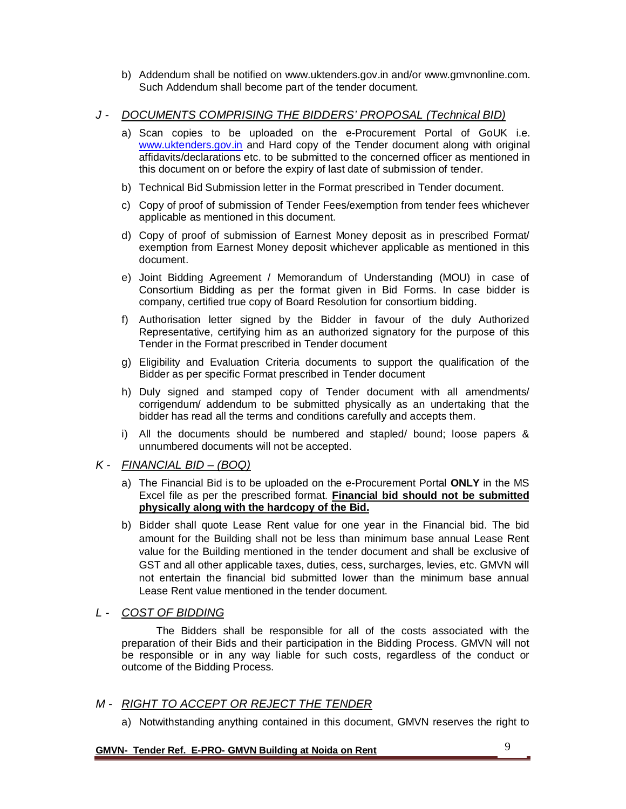b) Addendum shall be notified on www.uktenders.gov.in and/or www.gmvnonline.com. Such Addendum shall become part of the tender document.

## *J - DOCUMENTS COMPRISING THE BIDDERS' PROPOSAL (Technical BID)*

- a) Scan copies to be uploaded on the e-Procurement Portal of GoUK i.e. www.uktenders.gov.in and Hard copy of the Tender document along with original affidavits/declarations etc. to be submitted to the concerned officer as mentioned in this document on or before the expiry of last date of submission of tender.
- b) Technical Bid Submission letter in the Format prescribed in Tender document.
- c) Copy of proof of submission of Tender Fees/exemption from tender fees whichever applicable as mentioned in this document.
- d) Copy of proof of submission of Earnest Money deposit as in prescribed Format/ exemption from Earnest Money deposit whichever applicable as mentioned in this document.
- e) Joint Bidding Agreement / Memorandum of Understanding (MOU) in case of Consortium Bidding as per the format given in Bid Forms. In case bidder is company, certified true copy of Board Resolution for consortium bidding.
- f) Authorisation letter signed by the Bidder in favour of the duly Authorized Representative, certifying him as an authorized signatory for the purpose of this Tender in the Format prescribed in Tender document
- g) Eligibility and Evaluation Criteria documents to support the qualification of the Bidder as per specific Format prescribed in Tender document
- h) Duly signed and stamped copy of Tender document with all amendments/ corrigendum/ addendum to be submitted physically as an undertaking that the bidder has read all the terms and conditions carefully and accepts them.
- i) All the documents should be numbered and stapled/ bound; loose papers & unnumbered documents will not be accepted.

## *K - FINANCIAL BID – (BOQ)*

- a) The Financial Bid is to be uploaded on the e-Procurement Portal **ONLY** in the MS Excel file as per the prescribed format. **Financial bid should not be submitted physically along with the hardcopy of the Bid.**
- b) Bidder shall quote Lease Rent value for one year in the Financial bid. The bid amount for the Building shall not be less than minimum base annual Lease Rent value for the Building mentioned in the tender document and shall be exclusive of GST and all other applicable taxes, duties, cess, surcharges, levies, etc. GMVN will not entertain the financial bid submitted lower than the minimum base annual Lease Rent value mentioned in the tender document.

## *L - COST OF BIDDING*

The Bidders shall be responsible for all of the costs associated with the preparation of their Bids and their participation in the Bidding Process. GMVN will not be responsible or in any way liable for such costs, regardless of the conduct or outcome of the Bidding Process.

## *M - RIGHT TO ACCEPT OR REJECT THE TENDER*

a) Notwithstanding anything contained in this document, GMVN reserves the right to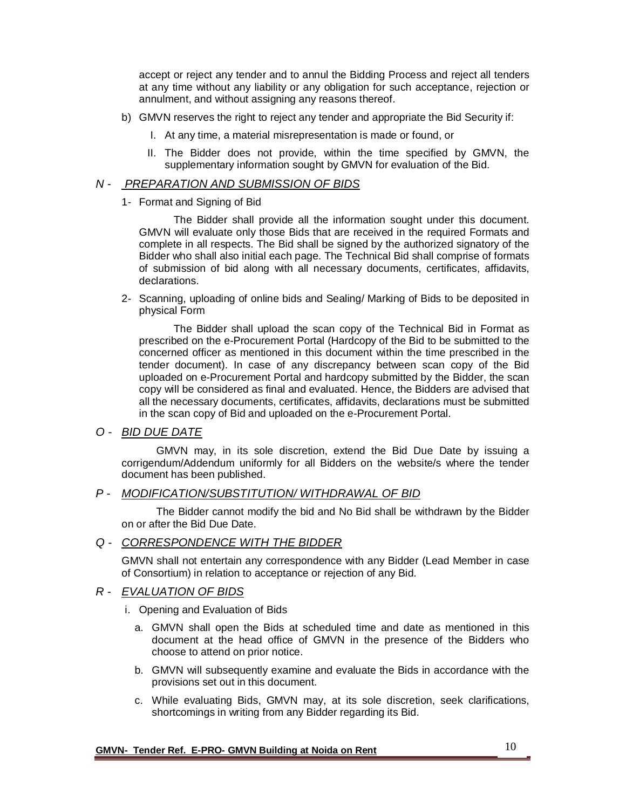accept or reject any tender and to annul the Bidding Process and reject all tenders at any time without any liability or any obligation for such acceptance, rejection or annulment, and without assigning any reasons thereof.

- b) GMVN reserves the right to reject any tender and appropriate the Bid Security if:
	- I. At any time, a material misrepresentation is made or found, or
	- II. The Bidder does not provide, within the time specified by GMVN, the supplementary information sought by GMVN for evaluation of the Bid.

## *N - PREPARATION AND SUBMISSION OF BIDS*

1- Format and Signing of Bid

The Bidder shall provide all the information sought under this document. GMVN will evaluate only those Bids that are received in the required Formats and complete in all respects. The Bid shall be signed by the authorized signatory of the Bidder who shall also initial each page. The Technical Bid shall comprise of formats of submission of bid along with all necessary documents, certificates, affidavits, declarations.

2- Scanning, uploading of online bids and Sealing/ Marking of Bids to be deposited in physical Form

The Bidder shall upload the scan copy of the Technical Bid in Format as prescribed on the e-Procurement Portal (Hardcopy of the Bid to be submitted to the concerned officer as mentioned in this document within the time prescribed in the tender document). In case of any discrepancy between scan copy of the Bid uploaded on e-Procurement Portal and hardcopy submitted by the Bidder, the scan copy will be considered as final and evaluated. Hence, the Bidders are advised that all the necessary documents, certificates, affidavits, declarations must be submitted in the scan copy of Bid and uploaded on the e-Procurement Portal.

### *O - BID DUE DATE*

GMVN may, in its sole discretion, extend the Bid Due Date by issuing a corrigendum/Addendum uniformly for all Bidders on the website/s where the tender document has been published.

### *P - MODIFICATION/SUBSTITUTION/ WITHDRAWAL OF BID*

The Bidder cannot modify the bid and No Bid shall be withdrawn by the Bidder on or after the Bid Due Date.

## *Q - CORRESPONDENCE WITH THE BIDDER*

GMVN shall not entertain any correspondence with any Bidder (Lead Member in case of Consortium) in relation to acceptance or rejection of any Bid.

## *R - EVALUATION OF BIDS*

- i. Opening and Evaluation of Bids
	- a. GMVN shall open the Bids at scheduled time and date as mentioned in this document at the head office of GMVN in the presence of the Bidders who choose to attend on prior notice.
	- b. GMVN will subsequently examine and evaluate the Bids in accordance with the provisions set out in this document.
	- c. While evaluating Bids, GMVN may, at its sole discretion, seek clarifications, shortcomings in writing from any Bidder regarding its Bid.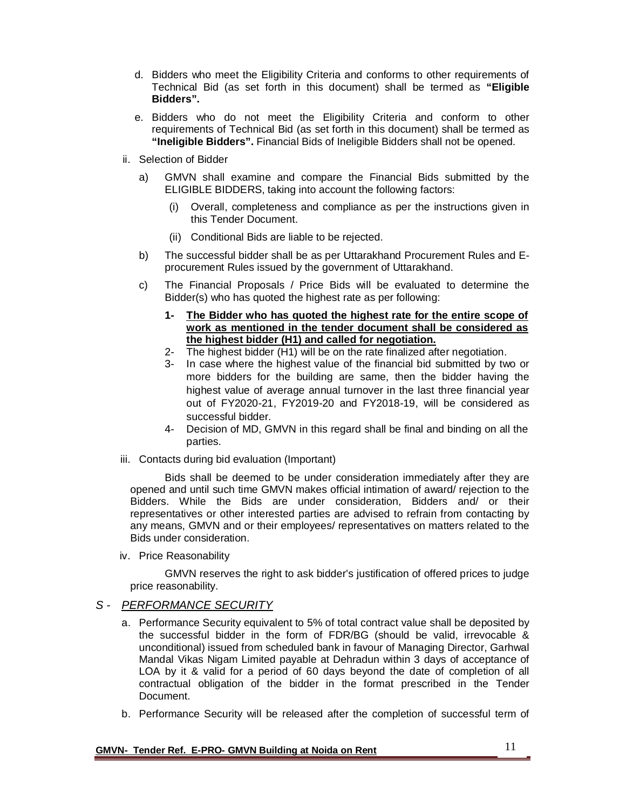- d. Bidders who meet the Eligibility Criteria and conforms to other requirements of Technical Bid (as set forth in this document) shall be termed as **"Eligible Bidders".**
- e. Bidders who do not meet the Eligibility Criteria and conform to other requirements of Technical Bid (as set forth in this document) shall be termed as **"Ineligible Bidders".** Financial Bids of Ineligible Bidders shall not be opened.
- ii. Selection of Bidder
	- a) GMVN shall examine and compare the Financial Bids submitted by the ELIGIBLE BIDDERS, taking into account the following factors:
		- (i) Overall, completeness and compliance as per the instructions given in this Tender Document.
		- (ii) Conditional Bids are liable to be rejected.
	- b) The successful bidder shall be as per Uttarakhand Procurement Rules and Eprocurement Rules issued by the government of Uttarakhand.
	- c) The Financial Proposals / Price Bids will be evaluated to determine the Bidder(s) who has quoted the highest rate as per following:
		- **1- The Bidder who has quoted the highest rate for the entire scope of work as mentioned in the tender document shall be considered as the highest bidder (H1) and called for negotiation.**
		- 2- The highest bidder (H1) will be on the rate finalized after negotiation.
		- 3- In case where the highest value of the financial bid submitted by two or more bidders for the building are same, then the bidder having the highest value of average annual turnover in the last three financial year out of FY2020-21, FY2019-20 and FY2018-19, will be considered as successful bidder.
		- 4- Decision of MD, GMVN in this regard shall be final and binding on all the parties.
- iii. Contacts during bid evaluation (Important)

Bids shall be deemed to be under consideration immediately after they are opened and until such time GMVN makes official intimation of award/ rejection to the Bidders. While the Bids are under consideration, Bidders and/ or their representatives or other interested parties are advised to refrain from contacting by any means, GMVN and or their employees/ representatives on matters related to the Bids under consideration.

iv. Price Reasonability

GMVN reserves the right to ask bidder's justification of offered prices to judge price reasonability.

### *S - PERFORMANCE SECURITY*

- a. Performance Security equivalent to 5% of total contract value shall be deposited by the successful bidder in the form of FDR/BG (should be valid, irrevocable & unconditional) issued from scheduled bank in favour of Managing Director, Garhwal Mandal Vikas Nigam Limited payable at Dehradun within 3 days of acceptance of LOA by it & valid for a period of 60 days beyond the date of completion of all contractual obligation of the bidder in the format prescribed in the Tender Document.
- b. Performance Security will be released after the completion of successful term of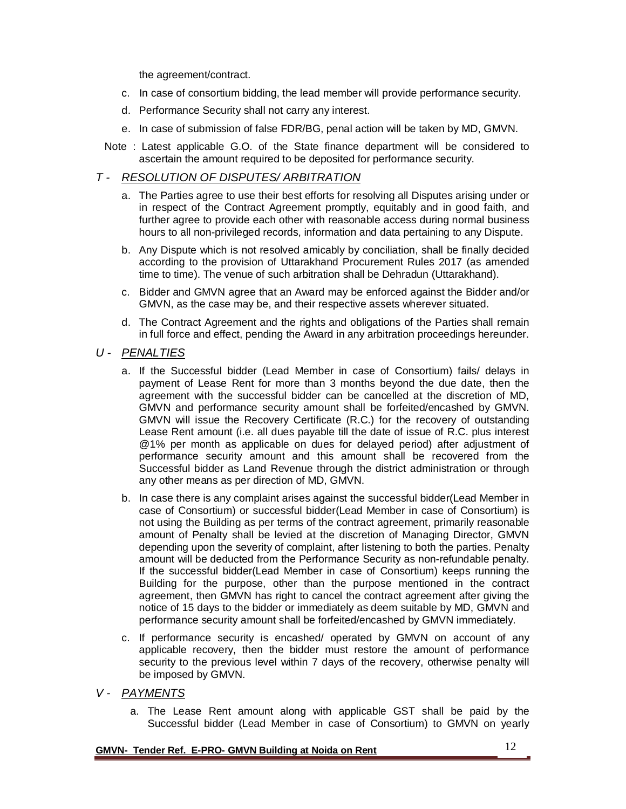the agreement/contract.

- c. In case of consortium bidding, the lead member will provide performance security.
- d. Performance Security shall not carry any interest.
- e. In case of submission of false FDR/BG, penal action will be taken by MD, GMVN.
- Note : Latest applicable G.O. of the State finance department will be considered to ascertain the amount required to be deposited for performance security.

### *T - RESOLUTION OF DISPUTES/ ARBITRATION*

- a. The Parties agree to use their best efforts for resolving all Disputes arising under or in respect of the Contract Agreement promptly, equitably and in good faith, and further agree to provide each other with reasonable access during normal business hours to all non-privileged records, information and data pertaining to any Dispute.
- b. Any Dispute which is not resolved amicably by conciliation, shall be finally decided according to the provision of Uttarakhand Procurement Rules 2017 (as amended time to time). The venue of such arbitration shall be Dehradun (Uttarakhand).
- c. Bidder and GMVN agree that an Award may be enforced against the Bidder and/or GMVN, as the case may be, and their respective assets wherever situated.
- d. The Contract Agreement and the rights and obligations of the Parties shall remain in full force and effect, pending the Award in any arbitration proceedings hereunder.

### *U - PENALTIES*

- a. If the Successful bidder (Lead Member in case of Consortium) fails/ delays in payment of Lease Rent for more than 3 months beyond the due date, then the agreement with the successful bidder can be cancelled at the discretion of MD, GMVN and performance security amount shall be forfeited/encashed by GMVN. GMVN will issue the Recovery Certificate (R.C.) for the recovery of outstanding Lease Rent amount (i.e. all dues payable till the date of issue of R.C. plus interest @1% per month as applicable on dues for delayed period) after adjustment of performance security amount and this amount shall be recovered from the Successful bidder as Land Revenue through the district administration or through any other means as per direction of MD, GMVN.
- b. In case there is any complaint arises against the successful bidder(Lead Member in case of Consortium) or successful bidder(Lead Member in case of Consortium) is not using the Building as per terms of the contract agreement, primarily reasonable amount of Penalty shall be levied at the discretion of Managing Director, GMVN depending upon the severity of complaint, after listening to both the parties. Penalty amount will be deducted from the Performance Security as non-refundable penalty. If the successful bidder(Lead Member in case of Consortium) keeps running the Building for the purpose, other than the purpose mentioned in the contract agreement, then GMVN has right to cancel the contract agreement after giving the notice of 15 days to the bidder or immediately as deem suitable by MD, GMVN and performance security amount shall be forfeited/encashed by GMVN immediately.
- c. If performance security is encashed/ operated by GMVN on account of any applicable recovery, then the bidder must restore the amount of performance security to the previous level within 7 days of the recovery, otherwise penalty will be imposed by GMVN.
- *V - PAYMENTS*
	- a. The Lease Rent amount along with applicable GST shall be paid by the Successful bidder (Lead Member in case of Consortium) to GMVN on yearly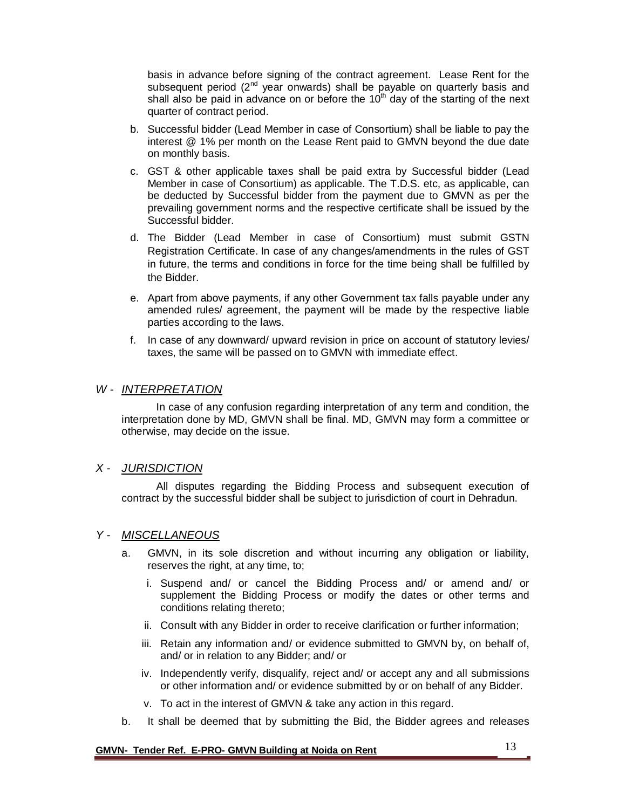basis in advance before signing of the contract agreement. Lease Rent for the subsequent period  $(2^{nd}$  year onwards) shall be payable on quarterly basis and shall also be paid in advance on or before the  $10<sup>th</sup>$  day of the starting of the next quarter of contract period.

- b. Successful bidder (Lead Member in case of Consortium) shall be liable to pay the interest @ 1% per month on the Lease Rent paid to GMVN beyond the due date on monthly basis.
- c. GST & other applicable taxes shall be paid extra by Successful bidder (Lead Member in case of Consortium) as applicable. The T.D.S. etc, as applicable, can be deducted by Successful bidder from the payment due to GMVN as per the prevailing government norms and the respective certificate shall be issued by the Successful bidder.
- d. The Bidder (Lead Member in case of Consortium) must submit GSTN Registration Certificate. In case of any changes/amendments in the rules of GST in future, the terms and conditions in force for the time being shall be fulfilled by the Bidder.
- e. Apart from above payments, if any other Government tax falls payable under any amended rules/ agreement, the payment will be made by the respective liable parties according to the laws.
- f. In case of any downward/ upward revision in price on account of statutory levies/ taxes, the same will be passed on to GMVN with immediate effect.

### *W - INTERPRETATION*

In case of any confusion regarding interpretation of any term and condition, the interpretation done by MD, GMVN shall be final. MD, GMVN may form a committee or otherwise, may decide on the issue.

### *X - JURISDICTION*

All disputes regarding the Bidding Process and subsequent execution of contract by the successful bidder shall be subject to jurisdiction of court in Dehradun.

## *Y - MISCELLANEOUS*

- a. GMVN, in its sole discretion and without incurring any obligation or liability, reserves the right, at any time, to;
	- i. Suspend and/ or cancel the Bidding Process and/ or amend and/ or supplement the Bidding Process or modify the dates or other terms and conditions relating thereto;
	- ii. Consult with any Bidder in order to receive clarification or further information;
	- iii. Retain any information and/ or evidence submitted to GMVN by, on behalf of, and/ or in relation to any Bidder; and/ or
	- iv. Independently verify, disqualify, reject and/ or accept any and all submissions or other information and/ or evidence submitted by or on behalf of any Bidder.
	- v. To act in the interest of GMVN & take any action in this regard.
- b. It shall be deemed that by submitting the Bid, the Bidder agrees and releases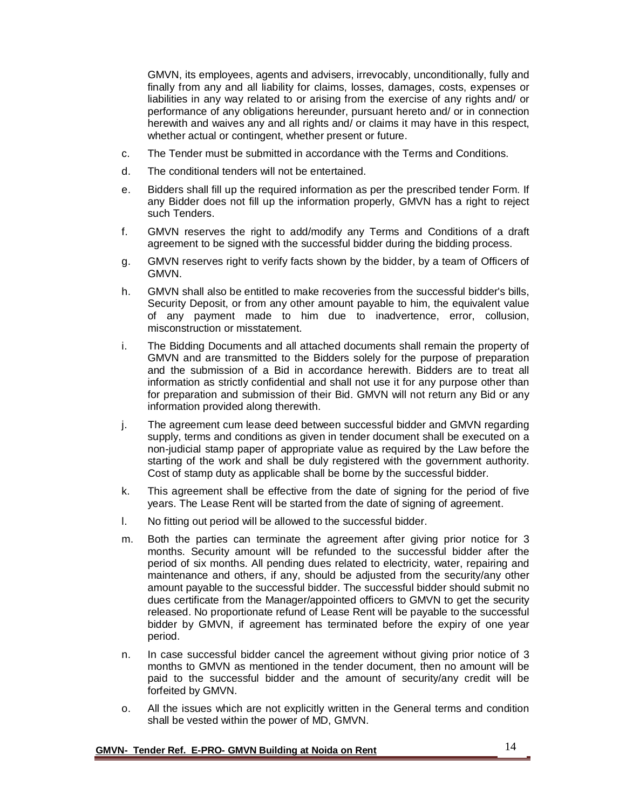GMVN, its employees, agents and advisers, irrevocably, unconditionally, fully and finally from any and all liability for claims, losses, damages, costs, expenses or liabilities in any way related to or arising from the exercise of any rights and/ or performance of any obligations hereunder, pursuant hereto and/ or in connection herewith and waives any and all rights and/ or claims it may have in this respect, whether actual or contingent, whether present or future.

- c. The Tender must be submitted in accordance with the Terms and Conditions.
- d. The conditional tenders will not be entertained.
- e. Bidders shall fill up the required information as per the prescribed tender Form. If any Bidder does not fill up the information properly, GMVN has a right to reject such Tenders.
- f. GMVN reserves the right to add/modify any Terms and Conditions of a draft agreement to be signed with the successful bidder during the bidding process.
- g. GMVN reserves right to verify facts shown by the bidder, by a team of Officers of GMVN.
- h. GMVN shall also be entitled to make recoveries from the successful bidder's bills, Security Deposit, or from any other amount payable to him, the equivalent value of any payment made to him due to inadvertence, error, collusion, misconstruction or misstatement.
- i. The Bidding Documents and all attached documents shall remain the property of GMVN and are transmitted to the Bidders solely for the purpose of preparation and the submission of a Bid in accordance herewith. Bidders are to treat all information as strictly confidential and shall not use it for any purpose other than for preparation and submission of their Bid. GMVN will not return any Bid or any information provided along therewith.
- j. The agreement cum lease deed between successful bidder and GMVN regarding supply, terms and conditions as given in tender document shall be executed on a non-judicial stamp paper of appropriate value as required by the Law before the starting of the work and shall be duly registered with the government authority. Cost of stamp duty as applicable shall be borne by the successful bidder.
- k. This agreement shall be effective from the date of signing for the period of five years. The Lease Rent will be started from the date of signing of agreement.
- l. No fitting out period will be allowed to the successful bidder.
- m. Both the parties can terminate the agreement after giving prior notice for 3 months. Security amount will be refunded to the successful bidder after the period of six months. All pending dues related to electricity, water, repairing and maintenance and others, if any, should be adjusted from the security/any other amount payable to the successful bidder. The successful bidder should submit no dues certificate from the Manager/appointed officers to GMVN to get the security released. No proportionate refund of Lease Rent will be payable to the successful bidder by GMVN, if agreement has terminated before the expiry of one year period.
- n. In case successful bidder cancel the agreement without giving prior notice of 3 months to GMVN as mentioned in the tender document, then no amount will be paid to the successful bidder and the amount of security/any credit will be forfeited by GMVN.
- o. All the issues which are not explicitly written in the General terms and condition shall be vested within the power of MD, GMVN.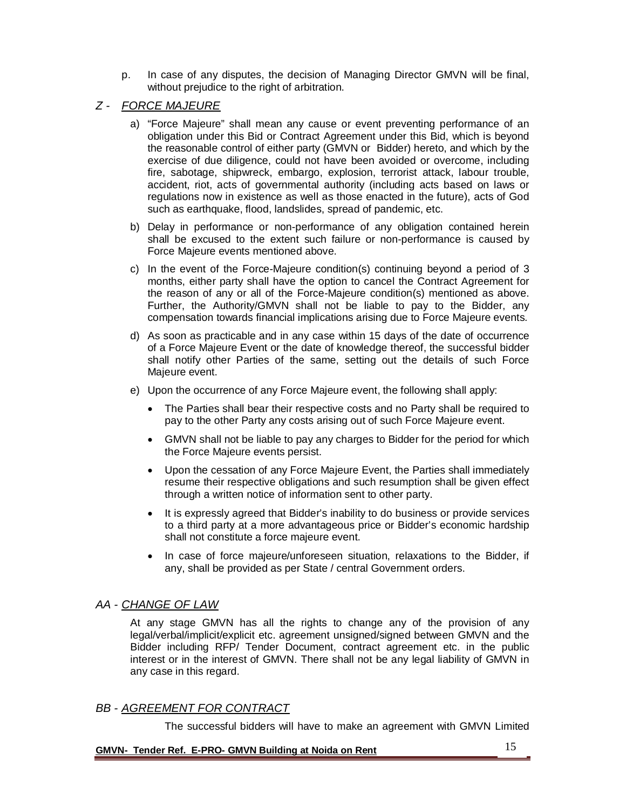- p. In case of any disputes, the decision of Managing Director GMVN will be final, without prejudice to the right of arbitration.
- *Z - FORCE MAJEURE*
	- a) "Force Majeure" shall mean any cause or event preventing performance of an obligation under this Bid or Contract Agreement under this Bid, which is beyond the reasonable control of either party (GMVN or Bidder) hereto, and which by the exercise of due diligence, could not have been avoided or overcome, including fire, sabotage, shipwreck, embargo, explosion, terrorist attack, labour trouble, accident, riot, acts of governmental authority (including acts based on laws or regulations now in existence as well as those enacted in the future), acts of God such as earthquake, flood, landslides, spread of pandemic, etc.
	- b) Delay in performance or non-performance of any obligation contained herein shall be excused to the extent such failure or non-performance is caused by Force Majeure events mentioned above.
	- c) In the event of the Force-Majeure condition(s) continuing beyond a period of 3 months, either party shall have the option to cancel the Contract Agreement for the reason of any or all of the Force-Majeure condition(s) mentioned as above. Further, the Authority/GMVN shall not be liable to pay to the Bidder, any compensation towards financial implications arising due to Force Majeure events.
	- d) As soon as practicable and in any case within 15 days of the date of occurrence of a Force Majeure Event or the date of knowledge thereof, the successful bidder shall notify other Parties of the same, setting out the details of such Force Majeure event.
	- e) Upon the occurrence of any Force Majeure event, the following shall apply:
		- The Parties shall bear their respective costs and no Party shall be required to pay to the other Party any costs arising out of such Force Majeure event.
		- GMVN shall not be liable to pay any charges to Bidder for the period for which the Force Majeure events persist.
		- Upon the cessation of any Force Majeure Event, the Parties shall immediately resume their respective obligations and such resumption shall be given effect through a written notice of information sent to other party.
		- It is expressly agreed that Bidder's inability to do business or provide services to a third party at a more advantageous price or Bidder's economic hardship shall not constitute a force majeure event.
		- In case of force majeure/unforeseen situation, relaxations to the Bidder, if any, shall be provided as per State / central Government orders.

## *AA - CHANGE OF LAW*

At any stage GMVN has all the rights to change any of the provision of any legal/verbal/implicit/explicit etc. agreement unsigned/signed between GMVN and the Bidder including RFP/ Tender Document, contract agreement etc. in the public interest or in the interest of GMVN. There shall not be any legal liability of GMVN in any case in this regard.

## *BB - AGREEMENT FOR CONTRACT*

The successful bidders will have to make an agreement with GMVN Limited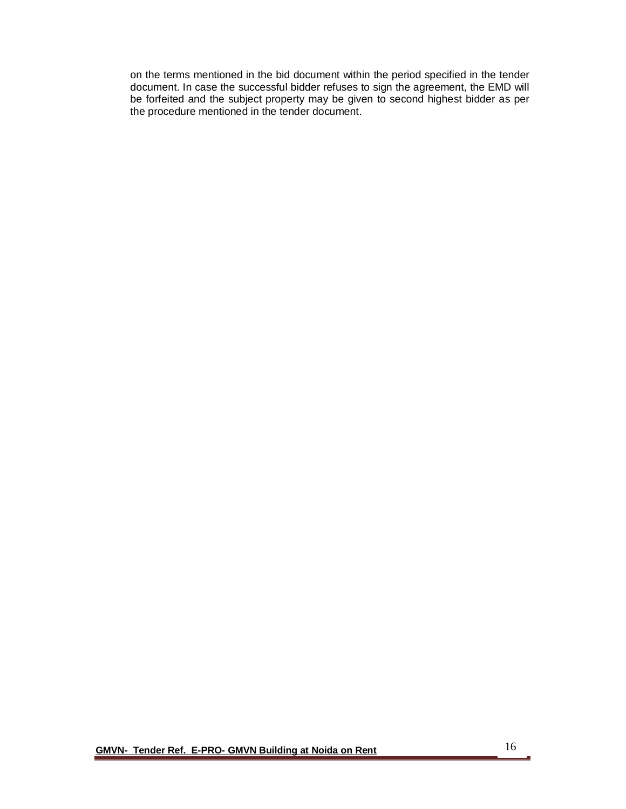on the terms mentioned in the bid document within the period specified in the tender document. In case the successful bidder refuses to sign the agreement, the EMD will be forfeited and the subject property may be given to second highest bidder as per the procedure mentioned in the tender document.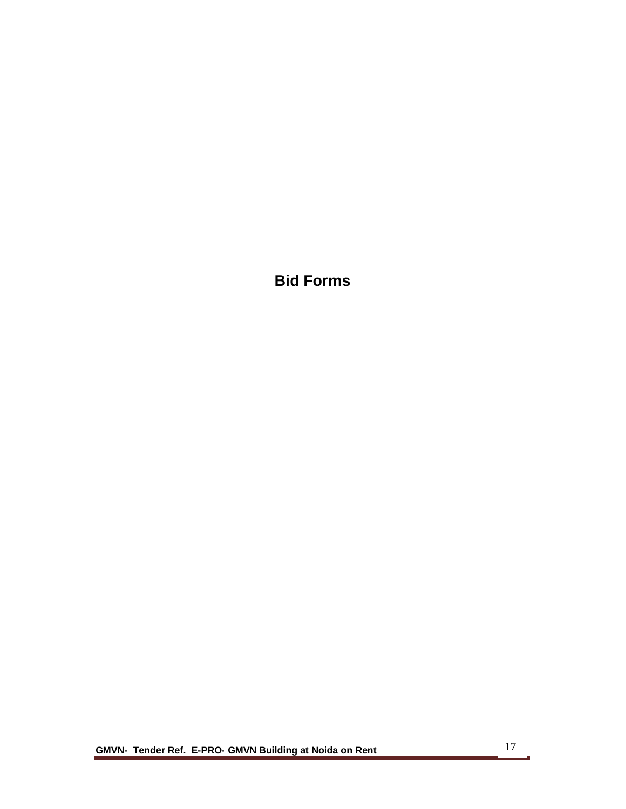**Bid Forms**

**GMVN- Tender Ref. E-PRO- GMVN Building at Noida on Rent** 

Ē,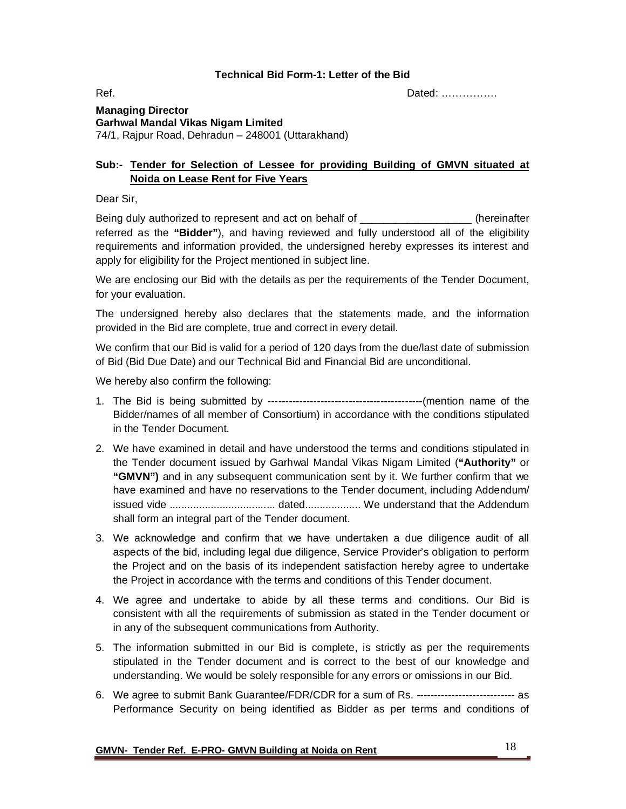#### **Technical Bid Form-1: Letter of the Bid**

Ref. Dated: …………….

**Managing Director Garhwal Mandal Vikas Nigam Limited** 74/1, Rajpur Road, Dehradun – 248001 (Uttarakhand)

## **Sub:- Tender for Selection of Lessee for providing Building of GMVN situated at Noida on Lease Rent for Five Years**

Dear Sir,

Being duly authorized to represent and act on behalf of **Example 20** (hereinafter referred as the **"Bidder"**), and having reviewed and fully understood all of the eligibility requirements and information provided, the undersigned hereby expresses its interest and apply for eligibility for the Project mentioned in subject line.

We are enclosing our Bid with the details as per the requirements of the Tender Document, for your evaluation.

The undersigned hereby also declares that the statements made, and the information provided in the Bid are complete, true and correct in every detail.

We confirm that our Bid is valid for a period of 120 days from the due/last date of submission of Bid (Bid Due Date) and our Technical Bid and Financial Bid are unconditional.

We hereby also confirm the following:

- 1. The Bid is being submitted by --------------------------------------------(mention name of the Bidder/names of all member of Consortium) in accordance with the conditions stipulated in the Tender Document.
- 2. We have examined in detail and have understood the terms and conditions stipulated in the Tender document issued by Garhwal Mandal Vikas Nigam Limited (**"Authority"** or **"GMVN")** and in any subsequent communication sent by it. We further confirm that we have examined and have no reservations to the Tender document, including Addendum/ issued vide .................................... dated................... We understand that the Addendum shall form an integral part of the Tender document.
- 3. We acknowledge and confirm that we have undertaken a due diligence audit of all aspects of the bid, including legal due diligence, Service Provider's obligation to perform the Project and on the basis of its independent satisfaction hereby agree to undertake the Project in accordance with the terms and conditions of this Tender document.
- 4. We agree and undertake to abide by all these terms and conditions. Our Bid is consistent with all the requirements of submission as stated in the Tender document or in any of the subsequent communications from Authority.
- 5. The information submitted in our Bid is complete, is strictly as per the requirements stipulated in the Tender document and is correct to the best of our knowledge and understanding. We would be solely responsible for any errors or omissions in our Bid.
- 6. We agree to submit Bank Guarantee/FDR/CDR for a sum of Rs. ---------------------------- as Performance Security on being identified as Bidder as per terms and conditions of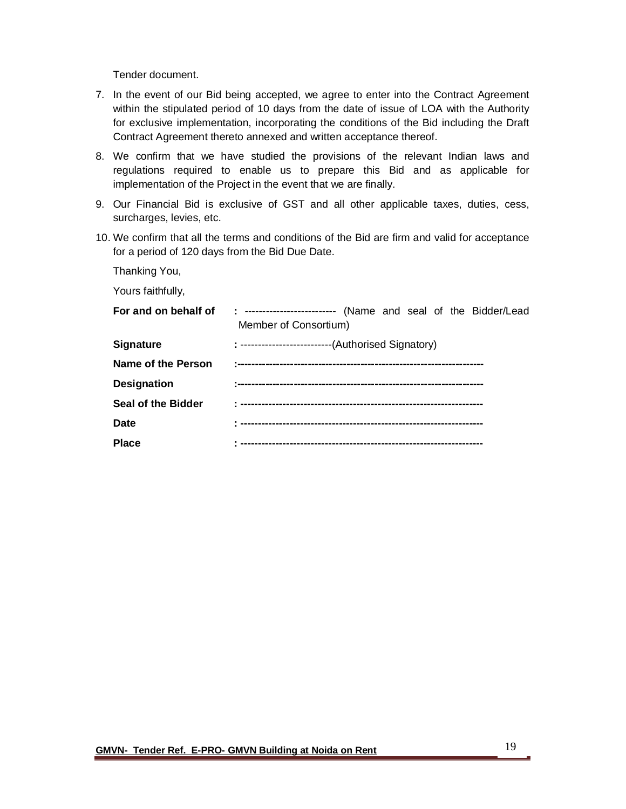Tender document.

- 7. In the event of our Bid being accepted, we agree to enter into the Contract Agreement within the stipulated period of 10 days from the date of issue of LOA with the Authority for exclusive implementation, incorporating the conditions of the Bid including the Draft Contract Agreement thereto annexed and written acceptance thereof.
- 8. We confirm that we have studied the provisions of the relevant Indian laws and regulations required to enable us to prepare this Bid and as applicable for implementation of the Project in the event that we are finally.
- 9. Our Financial Bid is exclusive of GST and all other applicable taxes, duties, cess, surcharges, levies, etc.
- 10. We confirm that all the terms and conditions of the Bid are firm and valid for acceptance for a period of 120 days from the Bid Due Date.

Thanking You,

Yours faithfully,

| For and on behalf of      | : ------------------------- (Name and seal of the Bidder/Lead<br>Member of Consortium) |
|---------------------------|----------------------------------------------------------------------------------------|
| <b>Signature</b>          | : ---------------------------(Authorised Signatory)                                    |
| Name of the Person        |                                                                                        |
| <b>Designation</b>        |                                                                                        |
| <b>Seal of the Bidder</b> |                                                                                        |
| Date                      |                                                                                        |
| <b>Place</b>              |                                                                                        |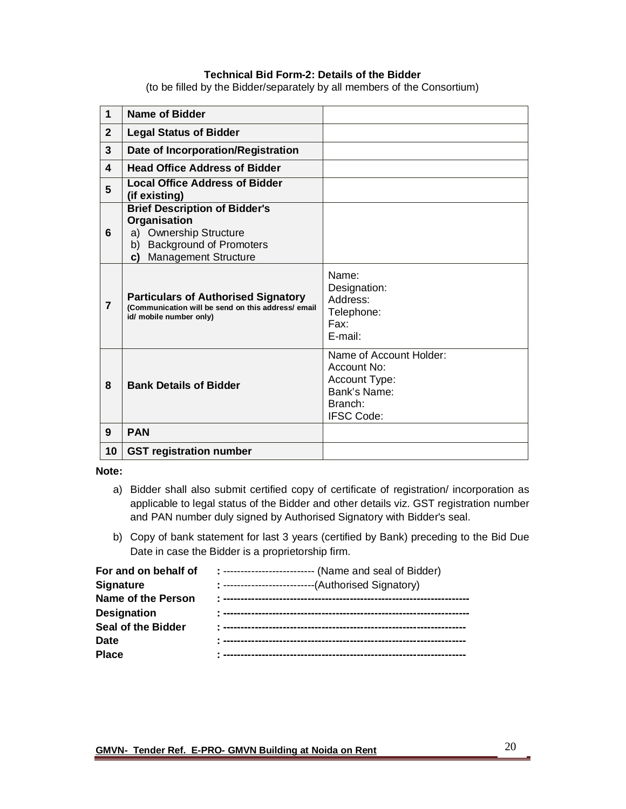#### **Technical Bid Form-2: Details of the Bidder**

(to be filled by the Bidder/separately by all members of the Consortium)

| $\mathbf{1}$   | <b>Name of Bidder</b>                                                                                                                                                 |                                                                                                         |
|----------------|-----------------------------------------------------------------------------------------------------------------------------------------------------------------------|---------------------------------------------------------------------------------------------------------|
| $\overline{2}$ | <b>Legal Status of Bidder</b>                                                                                                                                         |                                                                                                         |
| $\mathbf{3}$   | Date of Incorporation/Registration                                                                                                                                    |                                                                                                         |
| 4              | <b>Head Office Address of Bidder</b>                                                                                                                                  |                                                                                                         |
| 5              | <b>Local Office Address of Bidder</b><br>(if existing)                                                                                                                |                                                                                                         |
| 6              | <b>Brief Description of Bidder's</b><br>Organisation<br><b>Ownership Structure</b><br>a)<br><b>Background of Promoters</b><br>b)<br><b>Management Structure</b><br>c) |                                                                                                         |
| $\overline{7}$ | <b>Particulars of Authorised Signatory</b><br>(Communication will be send on this address/ email<br>id/ mobile number only)                                           | Name:<br>Designation:<br>Address:<br>Telephone:<br>Fax:<br>E-mail:                                      |
| 8              | <b>Bank Details of Bidder</b>                                                                                                                                         | Name of Account Holder:<br>Account No:<br>Account Type:<br>Bank's Name:<br>Branch:<br><b>IFSC Code:</b> |
| 9              | <b>PAN</b>                                                                                                                                                            |                                                                                                         |
| 10             | <b>GST registration number</b>                                                                                                                                        |                                                                                                         |

**Note:** 

- a) Bidder shall also submit certified copy of certificate of registration/ incorporation as applicable to legal status of the Bidder and other details viz. GST registration number and PAN number duly signed by Authorised Signatory with Bidder's seal.
- b) Copy of bank statement for last 3 years (certified by Bank) preceding to the Bid Due Date in case the Bidder is a proprietorship firm.

| For and on behalf of      | : ------------------------- (Name and seal of Bidder) |
|---------------------------|-------------------------------------------------------|
| <b>Signature</b>          | : ---------------------------(Authorised Signatory)   |
| <b>Name of the Person</b> |                                                       |
| <b>Designation</b>        |                                                       |
| <b>Seal of the Bidder</b> |                                                       |
| <b>Date</b>               |                                                       |
| <b>Place</b>              |                                                       |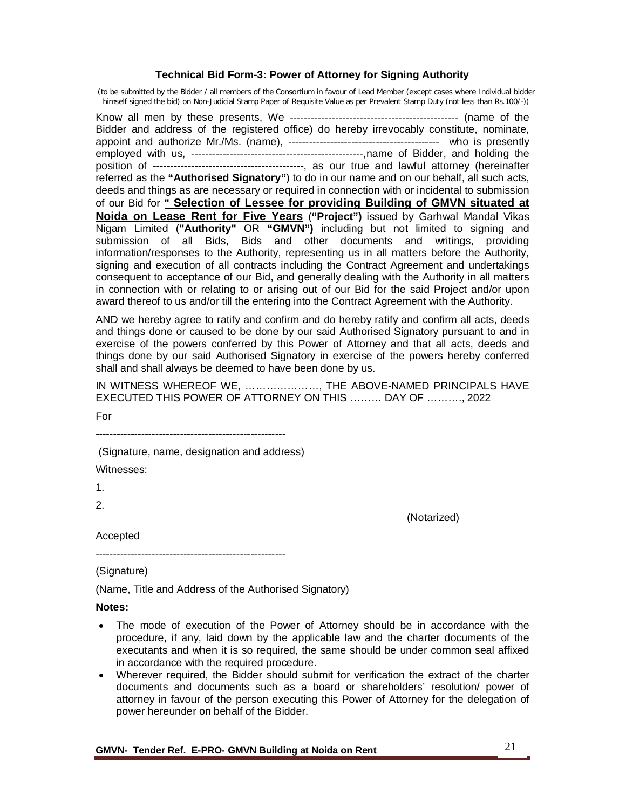#### **Technical Bid Form-3: Power of Attorney for Signing Authority**

(to be submitted by the Bidder / all members of the Consortium in favour of Lead Member (except cases where Individual bidder himself signed the bid) on Non-Judicial Stamp Paper of Requisite Value as per Prevalent Stamp Duty (not less than Rs.100/-))

Know all men by these presents, We ------------------------------------------------ (name of the Bidder and address of the registered office) do hereby irrevocably constitute, nominate, appoint and authorize Mr./Ms. (name), ------------------------------------------- who is presently employed with us, -------------------------------------------------,name of Bidder, and holding the position of -------------------------------------------, as our true and lawful attorney (hereinafter referred as the **"Authorised Signatory"**) to do in our name and on our behalf, all such acts, deeds and things as are necessary or required in connection with or incidental to submission of our Bid for **" Selection of Lessee for providing Building of GMVN situated at Noida on Lease Rent for Five Years** (**"Project")** issued by Garhwal Mandal Vikas Nigam Limited (**"Authority"** OR **"GMVN")** including but not limited to signing and submission of all Bids, Bids and other documents and writings, providing information/responses to the Authority, representing us in all matters before the Authority, signing and execution of all contracts including the Contract Agreement and undertakings consequent to acceptance of our Bid, and generally dealing with the Authority in all matters in connection with or relating to or arising out of our Bid for the said Project and/or upon award thereof to us and/or till the entering into the Contract Agreement with the Authority.

AND we hereby agree to ratify and confirm and do hereby ratify and confirm all acts, deeds and things done or caused to be done by our said Authorised Signatory pursuant to and in exercise of the powers conferred by this Power of Attorney and that all acts, deeds and things done by our said Authorised Signatory in exercise of the powers hereby conferred shall and shall always be deemed to have been done by us.

IN WITNESS WHEREOF WE, …………………, THE ABOVE-NAMED PRINCIPALS HAVE EXECUTED THIS POWER OF ATTORNEY ON THIS ……… DAY OF ………., 2022

For

------------------------------------------------------

(Signature, name, designation and address)

Witnesses:

1.

2.

(Notarized)

Accepted

------------------------------------------------------

(Signature)

(Name, Title and Address of the Authorised Signatory)

**Notes:**

- The mode of execution of the Power of Attorney should be in accordance with the procedure, if any, laid down by the applicable law and the charter documents of the executants and when it is so required, the same should be under common seal affixed in accordance with the required procedure.
- Wherever required, the Bidder should submit for verification the extract of the charter documents and documents such as a board or shareholders' resolution/ power of attorney in favour of the person executing this Power of Attorney for the delegation of power hereunder on behalf of the Bidder.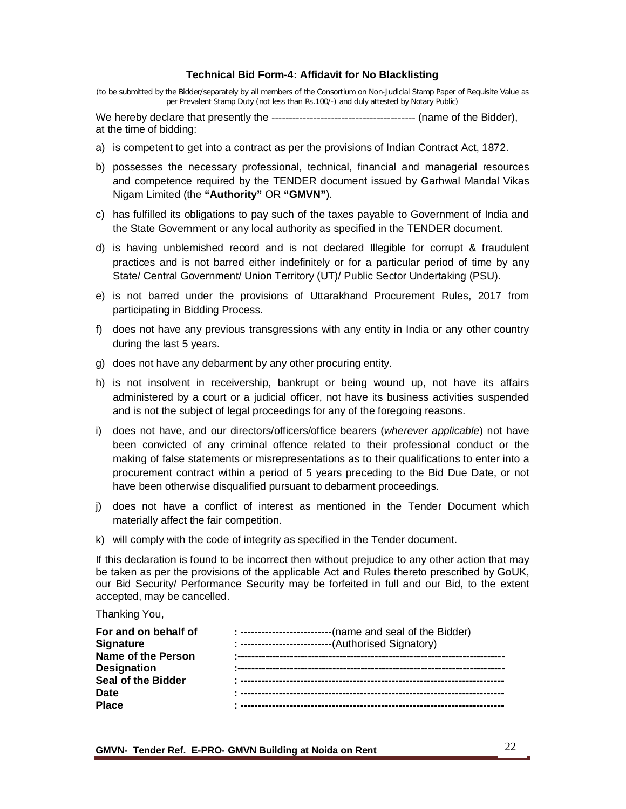#### **Technical Bid Form-4: Affidavit for No Blacklisting**

(to be submitted by the Bidder/separately by all members of the Consortium on Non-Judicial Stamp Paper of Requisite Value as per Prevalent Stamp Duty (not less than Rs.100/-) and duly attested by Notary Public)

We hereby declare that presently the ----------------------------------------- (name of the Bidder), at the time of bidding:

- a) is competent to get into a contract as per the provisions of Indian Contract Act, 1872.
- b) possesses the necessary professional, technical, financial and managerial resources and competence required by the TENDER document issued by Garhwal Mandal Vikas Nigam Limited (the **"Authority"** OR **"GMVN"**).
- c) has fulfilled its obligations to pay such of the taxes payable to Government of India and the State Government or any local authority as specified in the TENDER document.
- d) is having unblemished record and is not declared Illegible for corrupt & fraudulent practices and is not barred either indefinitely or for a particular period of time by any State/ Central Government/ Union Territory (UT)/ Public Sector Undertaking (PSU).
- e) is not barred under the provisions of Uttarakhand Procurement Rules, 2017 from participating in Bidding Process.
- f) does not have any previous transgressions with any entity in India or any other country during the last 5 years.
- g) does not have any debarment by any other procuring entity.
- h) is not insolvent in receivership, bankrupt or being wound up, not have its affairs administered by a court or a judicial officer, not have its business activities suspended and is not the subject of legal proceedings for any of the foregoing reasons.
- i) does not have, and our directors/officers/office bearers (*wherever applicable*) not have been convicted of any criminal offence related to their professional conduct or the making of false statements or misrepresentations as to their qualifications to enter into a procurement contract within a period of 5 years preceding to the Bid Due Date, or not have been otherwise disqualified pursuant to debarment proceedings.
- j) does not have a conflict of interest as mentioned in the Tender Document which materially affect the fair competition.
- k) will comply with the code of integrity as specified in the Tender document.

If this declaration is found to be incorrect then without prejudice to any other action that may be taken as per the provisions of the applicable Act and Rules thereto prescribed by GoUK, our Bid Security/ Performance Security may be forfeited in full and our Bid, to the extent accepted, may be cancelled.

Thanking You,

| For and on behalf of        | : --------------------------(name and seal of the Bidder) |
|-----------------------------|-----------------------------------------------------------|
| <b>Signature</b>            | -(Authorised Signatory)                                   |
| <b>Name of the Person</b>   | $\pm$ ----------------------                              |
| <b>Designation</b>          |                                                           |
| Seal of the Bidder          |                                                           |
| <b>Date</b><br><b>Place</b> |                                                           |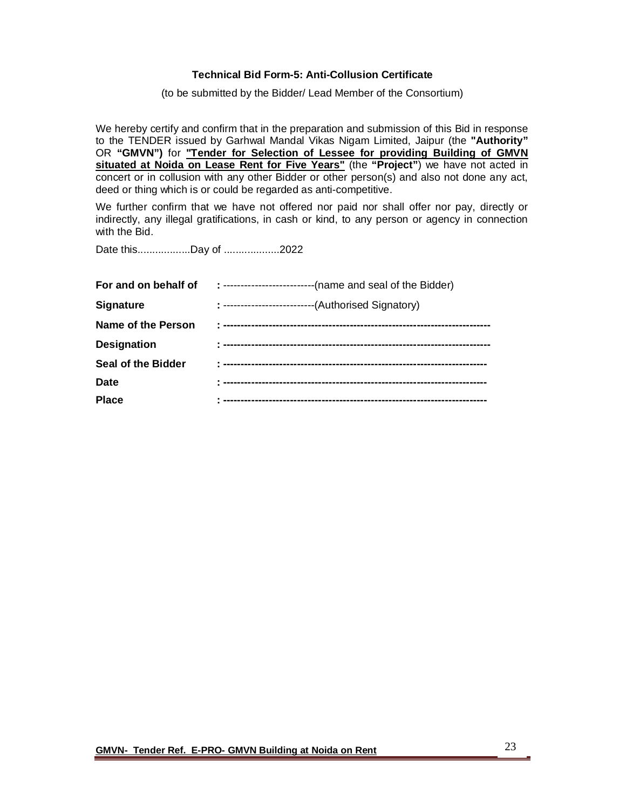#### **Technical Bid Form-5: Anti-Collusion Certificate**

(to be submitted by the Bidder/ Lead Member of the Consortium)

We hereby certify and confirm that in the preparation and submission of this Bid in response to the TENDER issued by Garhwal Mandal Vikas Nigam Limited, Jaipur (the **"Authority"**  OR **"GMVN")** for **"Tender for Selection of Lessee for providing Building of GMVN situated at Noida on Lease Rent for Five Years"** (the **"Project"**) we have not acted in concert or in collusion with any other Bidder or other person(s) and also not done any act, deed or thing which is or could be regarded as anti-competitive.

We further confirm that we have not offered nor paid nor shall offer nor pay, directly or indirectly, any illegal gratifications, in cash or kind, to any person or agency in connection with the Bid.

Date this..................Day of ...................2022

| For and on behalf of | : ---------------------------(name and seal of the Bidder) |
|----------------------|------------------------------------------------------------|
| <b>Signature</b>     | : ---------------------------(Authorised Signatory)        |
| Name of the Person   |                                                            |
| <b>Designation</b>   |                                                            |
| Seal of the Bidder   |                                                            |
| Date                 |                                                            |
| <b>Place</b>         |                                                            |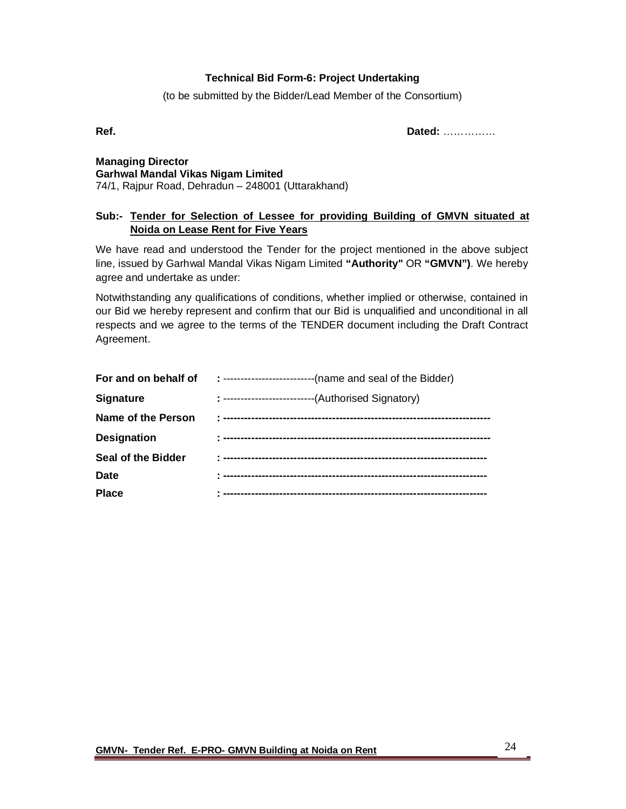## **Technical Bid Form-6: Project Undertaking**

(to be submitted by the Bidder/Lead Member of the Consortium)

**Ref. Dated:** ……………

**Managing Director Garhwal Mandal Vikas Nigam Limited** 74/1, Rajpur Road, Dehradun – 248001 (Uttarakhand)

## **Sub:- Tender for Selection of Lessee for providing Building of GMVN situated at Noida on Lease Rent for Five Years**

We have read and understood the Tender for the project mentioned in the above subject line, issued by Garhwal Mandal Vikas Nigam Limited **"Authority"** OR **"GMVN")**. We hereby agree and undertake as under:

Notwithstanding any qualifications of conditions, whether implied or otherwise, contained in our Bid we hereby represent and confirm that our Bid is unqualified and unconditional in all respects and we agree to the terms of the TENDER document including the Draft Contract Agreement.

| --(name and seal of the Bidder)                      |
|------------------------------------------------------|
| --(Authorised Signatory)<br>: ---------------------- |
|                                                      |
|                                                      |
|                                                      |
|                                                      |
|                                                      |
|                                                      |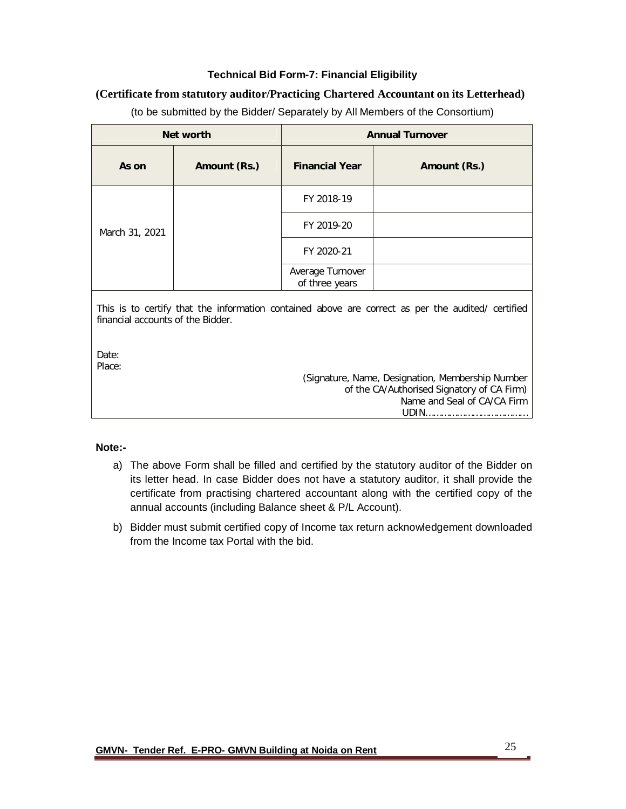## **Technical Bid Form-7: Financial Eligibility**

## **(Certificate from statutory auditor/Practicing Chartered Accountant on its Letterhead)**

| Net worth      |              | <b>Annual Turnover</b>             |              |  |  |
|----------------|--------------|------------------------------------|--------------|--|--|
| As on          | Amount (Rs.) | <b>Financial Year</b>              | Amount (Rs.) |  |  |
| March 31, 2021 |              | FY 2018-19                         |              |  |  |
|                |              | FY 2019-20                         |              |  |  |
|                |              | FY 2020-21                         |              |  |  |
|                |              | Average Turnover<br>of three years |              |  |  |

(to be submitted by the Bidder/ Separately by All Members of the Consortium)

This is to certify that the information contained above are correct as per the audited/ certified financial accounts of the Bidder.

Date: Place:

> (Signature, Name, Designation, Membership Number of the CA/Authorised Signatory of CA Firm) Name and Seal of CA/CA Firm UDIN…………………………………

#### **Note:-**

- a) The above Form shall be filled and certified by the statutory auditor of the Bidder on its letter head. In case Bidder does not have a statutory auditor, it shall provide the certificate from practising chartered accountant along with the certified copy of the annual accounts (including Balance sheet & P/L Account).
- b) Bidder must submit certified copy of Income tax return acknowledgement downloaded from the Income tax Portal with the bid.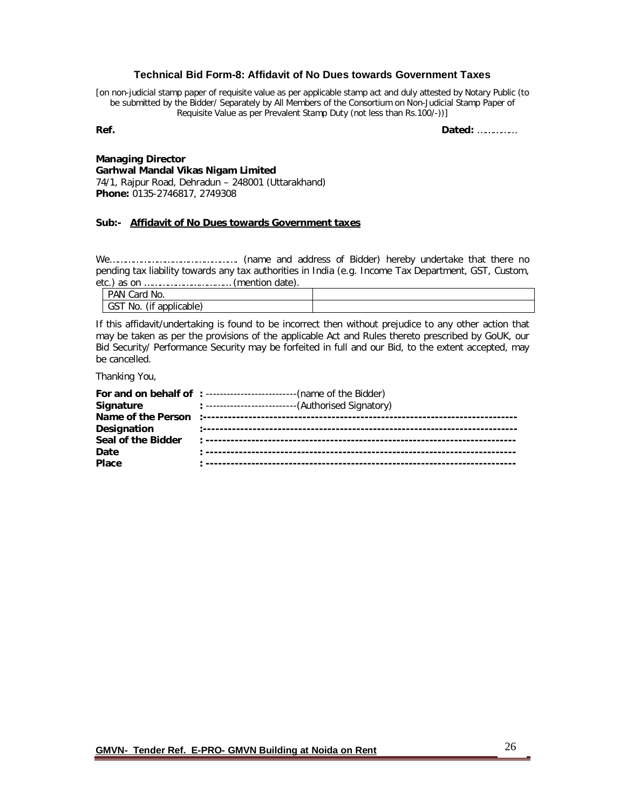#### **Technical Bid Form-8: Affidavit of No Dues towards Government Taxes**

[on non-judicial stamp paper of requisite value as per applicable stamp act and duly attested by Notary Public (to be submitted by the Bidder/ Separately by All Members of the Consortium on Non-Judicial Stamp Paper of Requisite Value as per Prevalent Stamp Duty (not less than Rs.100/-))]

**Ref. Dated:** ……………

#### **Managing Director Garhwal Mandal Vikas Nigam Limited** 74/1, Rajpur Road, Dehradun – 248001 (Uttarakhand)

**Phone:** 0135-2746817, 2749308

#### **Sub:- Affidavit of No Dues towards Government taxes**

We…………………………………………. (name and address of Bidder) hereby undertake that there no pending tax liability towards any tax authorities in India (e.g. Income Tax Department, GST, Custom,  $(mention date)$ 

| PAN<br>Card No.                |  |
|--------------------------------|--|
| (if applicable)<br>-GST<br>No. |  |

If this affidavit/undertaking is found to be incorrect then without prejudice to any other action that may be taken as per the provisions of the applicable Act and Rules thereto prescribed by GoUK, our Bid Security/ Performance Security may be forfeited in full and our Bid, to the extent accepted, may be cancelled.

Thanking You,

|                    | For and on behalf of : --------------------------(name of the Bidder) |
|--------------------|-----------------------------------------------------------------------|
| Signature          | : ---------------------------(Authorised Signatory)                   |
|                    |                                                                       |
| Designation        |                                                                       |
| Seal of the Bidder |                                                                       |
| Date               |                                                                       |
| Place              |                                                                       |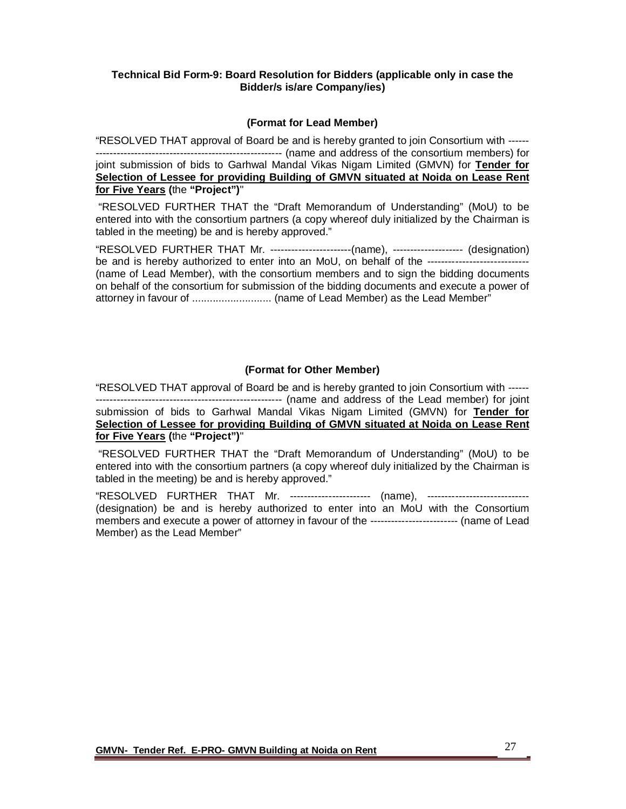#### **Technical Bid Form-9: Board Resolution for Bidders (applicable only in case the Bidder/s is/are Company/ies)**

#### **(Format for Lead Member)**

"RESOLVED THAT approval of Board be and is hereby granted to join Consortium with ------ ----------------------------------------------------- (name and address of the consortium members) for joint submission of bids to Garhwal Mandal Vikas Nigam Limited (GMVN) for **Tender for Selection of Lessee for providing Building of GMVN situated at Noida on Lease Rent for Five Years (**the **"Project")**"

"RESOLVED FURTHER THAT the "Draft Memorandum of Understanding" (MoU) to be entered into with the consortium partners (a copy whereof duly initialized by the Chairman is tabled in the meeting) be and is hereby approved."

"RESOLVED FURTHER THAT Mr. -----------------------(name), -------------------- (designation) be and is hereby authorized to enter into an MoU, on behalf of the --------------------------------(name of Lead Member), with the consortium members and to sign the bidding documents on behalf of the consortium for submission of the bidding documents and execute a power of attorney in favour of ........................... (name of Lead Member) as the Lead Member"

#### **(Format for Other Member)**

"RESOLVED THAT approval of Board be and is hereby granted to join Consortium with ------ ----------------------------------------------------- (name and address of the Lead member) for joint submission of bids to Garhwal Mandal Vikas Nigam Limited (GMVN) for **Tender for Selection of Lessee for providing Building of GMVN situated at Noida on Lease Rent for Five Years (**the **"Project")**"

"RESOLVED FURTHER THAT the "Draft Memorandum of Understanding" (MoU) to be entered into with the consortium partners (a copy whereof duly initialized by the Chairman is tabled in the meeting) be and is hereby approved."

"RESOLVED FURTHER THAT Mr. ----------------------- (name), ----------------------------- (designation) be and is hereby authorized to enter into an MoU with the Consortium members and execute a power of attorney in favour of the ------------------------- (name of Lead Member) as the Lead Member"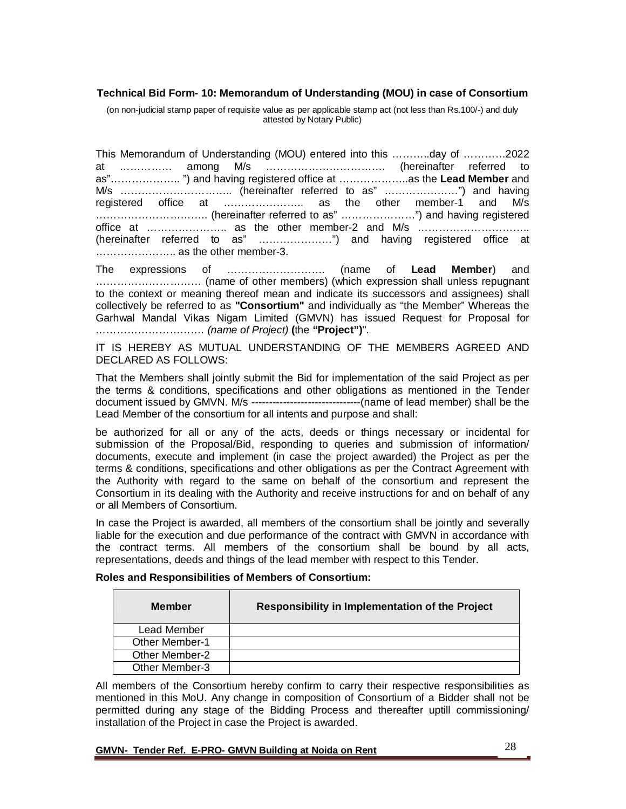#### **Technical Bid Form- 10: Memorandum of Understanding (MOU) in case of Consortium**

(on non-judicial stamp paper of requisite value as per applicable stamp act (not less than Rs.100/-) and duly attested by Notary Public)

This Memorandum of Understanding (MOU) entered into this ………..day of …………2022 at …………… among M/s ……………………………. (hereinafter referred to as"……………….. ") and having registered office at ………………..as the **Lead Member** and M/s ………………………….. (hereinafter referred to as" …………………") and having registered office at ………………….. as the other member-1 and M/s ………………………….. (hereinafter referred to as" …………………") and having registered office at ………………….. as the other member-2 and M/s ………………………….. (hereinafter referred to as" …………………") and having registered office at ......................... as the other member-3.

The expressions of ………………………. (name of **Lead Member**) and ………………………… (name of other members) (which expression shall unless repugnant to the context or meaning thereof mean and indicate its successors and assignees) shall collectively be referred to as **"Consortium"** and individually as "the Member" Whereas the Garhwal Mandal Vikas Nigam Limited (GMVN) has issued Request for Proposal for *…………………………. (name of Project)* **(**the **"Project")**".

IT IS HEREBY AS MUTUAL UNDERSTANDING OF THE MEMBERS AGREED AND DECLARED AS FOLLOWS:

That the Members shall jointly submit the Bid for implementation of the said Project as per the terms & conditions, specifications and other obligations as mentioned in the Tender document issued by GMVN. M/s -------------------------------(name of lead member) shall be the Lead Member of the consortium for all intents and purpose and shall:

be authorized for all or any of the acts, deeds or things necessary or incidental for submission of the Proposal/Bid, responding to queries and submission of information/ documents, execute and implement (in case the project awarded) the Project as per the terms & conditions, specifications and other obligations as per the Contract Agreement with the Authority with regard to the same on behalf of the consortium and represent the Consortium in its dealing with the Authority and receive instructions for and on behalf of any or all Members of Consortium.

In case the Project is awarded, all members of the consortium shall be jointly and severally liable for the execution and due performance of the contract with GMVN in accordance with the contract terms. All members of the consortium shall be bound by all acts, representations, deeds and things of the lead member with respect to this Tender.

| <b>Member</b>         | Responsibility in Implementation of the Project |
|-----------------------|-------------------------------------------------|
| Lead Member           |                                                 |
| <b>Other Member-1</b> |                                                 |
| <b>Other Member-2</b> |                                                 |
| Other Member-3        |                                                 |

All members of the Consortium hereby confirm to carry their respective responsibilities as mentioned in this MoU. Any change in composition of Consortium of a Bidder shall not be permitted during any stage of the Bidding Process and thereafter uptill commissioning/ installation of the Project in case the Project is awarded.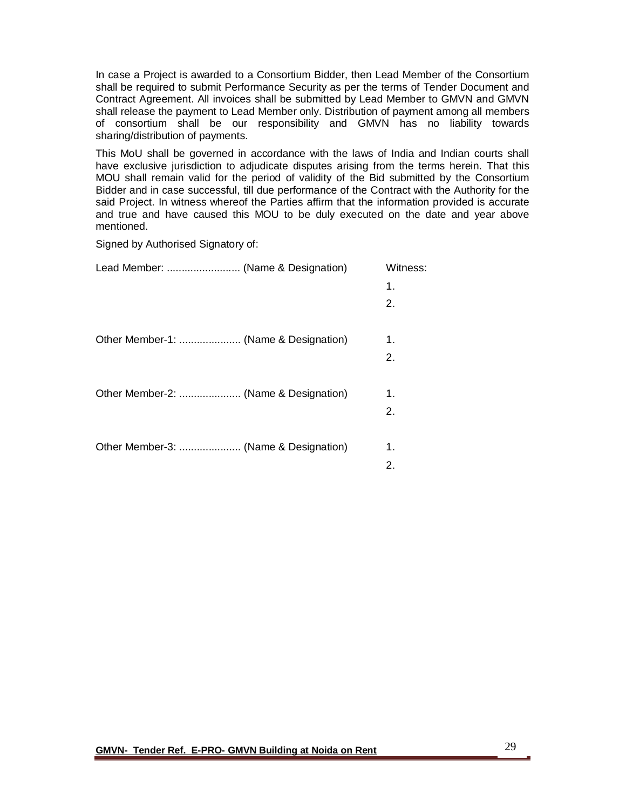In case a Project is awarded to a Consortium Bidder, then Lead Member of the Consortium shall be required to submit Performance Security as per the terms of Tender Document and Contract Agreement. All invoices shall be submitted by Lead Member to GMVN and GMVN shall release the payment to Lead Member only. Distribution of payment among all members of consortium shall be our responsibility and GMVN has no liability towards sharing/distribution of payments.

This MoU shall be governed in accordance with the laws of India and Indian courts shall have exclusive jurisdiction to adjudicate disputes arising from the terms herein. That this MOU shall remain valid for the period of validity of the Bid submitted by the Consortium Bidder and in case successful, till due performance of the Contract with the Authority for the said Project. In witness whereof the Parties affirm that the information provided is accurate and true and have caused this MOU to be duly executed on the date and year above mentioned.

Signed by Authorised Signatory of:

|                                       | Witness: |
|---------------------------------------|----------|
|                                       | 1.       |
|                                       | 2.       |
|                                       |          |
| Other Member-1:  (Name & Designation) | 1.       |
|                                       | 2.       |
|                                       |          |
|                                       | 1.       |
|                                       | 2.       |
|                                       |          |
|                                       | 1.       |
|                                       | 2.       |
|                                       |          |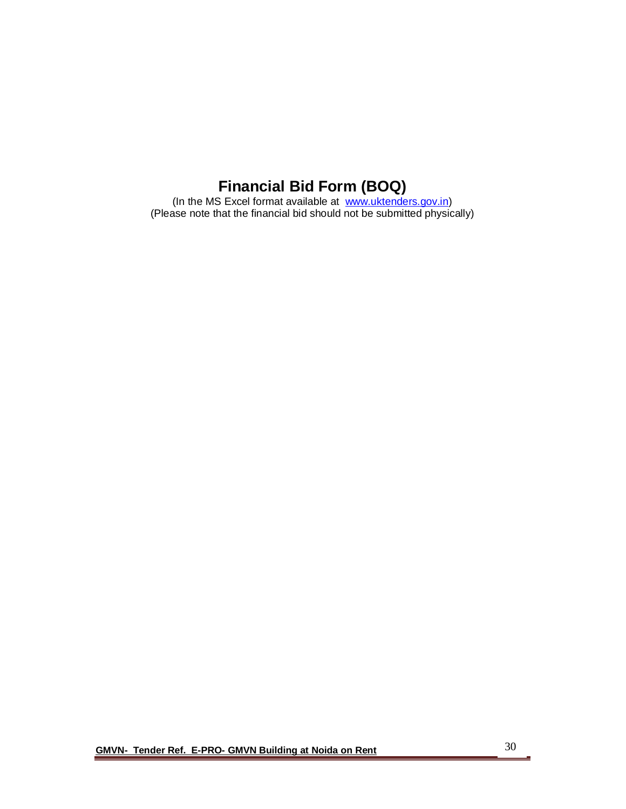# **Financial Bid Form (BOQ)**

(In the MS Excel format available at www.uktenders.gov.in) (Please note that the financial bid should not be submitted physically)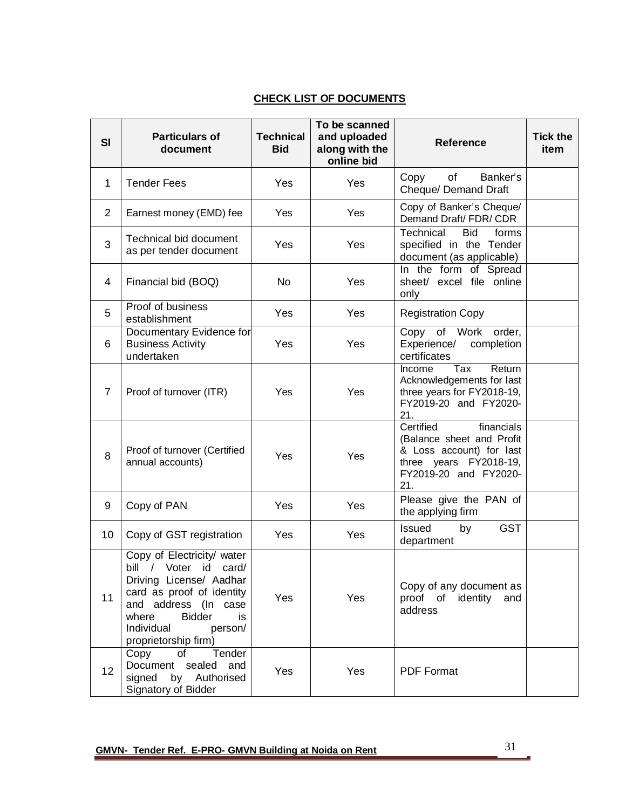## **CHECK LIST OF DOCUMENTS**

| <b>SI</b>      | <b>Particulars of</b><br>document                                                                                                                                                                                    | <b>Technical</b><br><b>Bid</b> | To be scanned<br>and uploaded<br>along with the<br>online bid | <b>Reference</b>                                                                                                                           | <b>Tick the</b><br>item |
|----------------|----------------------------------------------------------------------------------------------------------------------------------------------------------------------------------------------------------------------|--------------------------------|---------------------------------------------------------------|--------------------------------------------------------------------------------------------------------------------------------------------|-------------------------|
| 1              | <b>Tender Fees</b>                                                                                                                                                                                                   | Yes                            | Yes                                                           | Banker's<br>of<br>Copy<br>Cheque/ Demand Draft                                                                                             |                         |
| $\overline{2}$ | Earnest money (EMD) fee                                                                                                                                                                                              | Yes                            | Yes                                                           | Copy of Banker's Cheque/<br>Demand Draft/ FDR/ CDR                                                                                         |                         |
| 3              | <b>Technical bid document</b><br>as per tender document                                                                                                                                                              | Yes                            | Yes                                                           | Technical<br><b>Bid</b><br>forms<br>specified in the Tender<br>document (as applicable)                                                    |                         |
| 4              | Financial bid (BOQ)                                                                                                                                                                                                  | <b>No</b>                      | Yes                                                           | In the form of Spread<br>sheet/ excel file online<br>only                                                                                  |                         |
| 5              | Proof of business<br>establishment                                                                                                                                                                                   | Yes                            | Yes                                                           | <b>Registration Copy</b>                                                                                                                   |                         |
| 6              | Documentary Evidence for<br><b>Business Activity</b><br>undertaken                                                                                                                                                   | Yes                            | Yes                                                           | Copy of Work<br>order,<br>Experience/ completion<br>certificates                                                                           |                         |
| $\overline{7}$ | Proof of turnover (ITR)                                                                                                                                                                                              | Yes                            | Yes                                                           | Tax<br>Return<br>Income<br>Acknowledgements for last<br>three years for FY2018-19,<br>FY2019-20 and FY2020-<br>21.                         |                         |
| 8              | Proof of turnover (Certified<br>annual accounts)                                                                                                                                                                     | Yes                            | Yes                                                           | Certified<br>financials<br>(Balance sheet and Profit<br>& Loss account) for last<br>three years FY2018-19,<br>FY2019-20 and FY2020-<br>21. |                         |
| 9              | Copy of PAN                                                                                                                                                                                                          | Yes                            | Yes                                                           | Please give the PAN of<br>the applying firm                                                                                                |                         |
| 10             | Copy of GST registration                                                                                                                                                                                             | Yes                            | Yes                                                           | <b>GST</b><br><b>Issued</b><br>by<br>department                                                                                            |                         |
| 11             | Copy of Electricity/ water<br>bill / Voter id card/<br>Driving License/ Aadhar<br>card as proof of identity<br>and address (In case<br><b>Bidder</b><br>where<br>is<br>Individual<br>person/<br>proprietorship firm) | Yes                            | Yes                                                           | Copy of any document as<br>proof of identity<br>and<br>address                                                                             |                         |
| 12             | Tender<br>Copy<br>of<br>Document sealed and<br>signed<br>by Authorised<br>Signatory of Bidder                                                                                                                        | Yes                            | Yes                                                           | <b>PDF Format</b>                                                                                                                          |                         |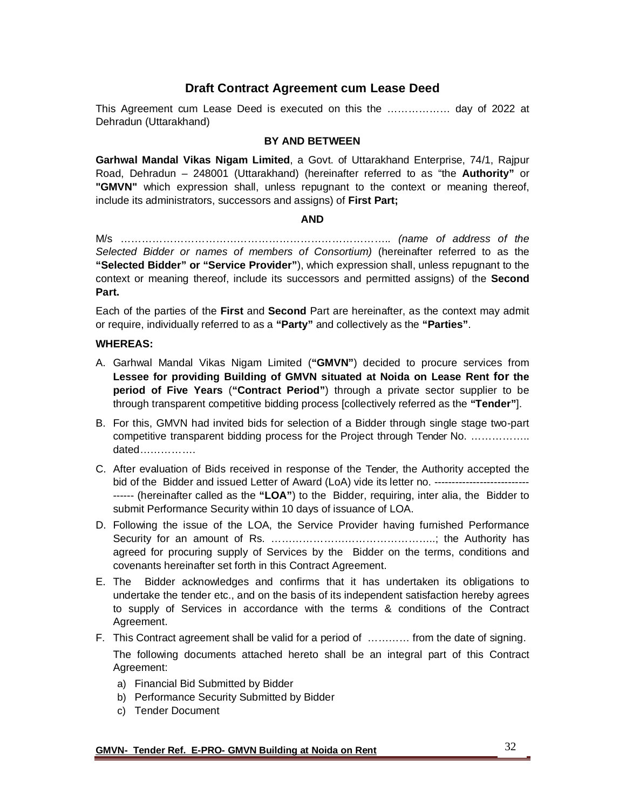## **Draft Contract Agreement cum Lease Deed**

This Agreement cum Lease Deed is executed on this the ……………… day of 2022 at Dehradun (Uttarakhand)

#### **BY AND BETWEEN**

**Garhwal Mandal Vikas Nigam Limited**, a Govt. of Uttarakhand Enterprise, 74/1, Rajpur Road, Dehradun – 248001 (Uttarakhand) (hereinafter referred to as "the **Authority"** or **"GMVN"** which expression shall, unless repugnant to the context or meaning thereof, include its administrators, successors and assigns) of **First Part;**

#### **AND**

M/s ………………………………………………………………….. *(name of address of the Selected Bidder or names of members of Consortium)* (hereinafter referred to as the **"Selected Bidder" or "Service Provider"**), which expression shall, unless repugnant to the context or meaning thereof, include its successors and permitted assigns) of the **Second Part.**

Each of the parties of the **First** and **Second** Part are hereinafter, as the context may admit or require, individually referred to as a **"Party"** and collectively as the **"Parties"**.

#### **WHEREAS:**

- A. Garhwal Mandal Vikas Nigam Limited (**"GMVN"**) decided to procure services from **Lessee for providing Building of GMVN situated at Noida on Lease Rent for the period of Five Years** (**"Contract Period"**) through a private sector supplier to be through transparent competitive bidding process [collectively referred as the **"Tender"**].
- B. For this, GMVN had invited bids for selection of a Bidder through single stage two-part competitive transparent bidding process for the Project through Tender No. …………….. dated…………….
- C. After evaluation of Bids received in response of the Tender, the Authority accepted the bid of the Bidder and issued Letter of Award (LoA) vide its letter no. -------------------------------- (hereinafter called as the **"LOA"**) to the Bidder, requiring, inter alia, the Bidder to submit Performance Security within 10 days of issuance of LOA.
- D. Following the issue of the LOA, the Service Provider having furnished Performance Security for an amount of Rs. ………………………………………..; the Authority has agreed for procuring supply of Services by the Bidder on the terms, conditions and covenants hereinafter set forth in this Contract Agreement.
- E. The Bidder acknowledges and confirms that it has undertaken its obligations to undertake the tender etc., and on the basis of its independent satisfaction hereby agrees to supply of Services in accordance with the terms & conditions of the Contract Agreement.
- F. This Contract agreement shall be valid for a period of ………… from the date of signing. The following documents attached hereto shall be an integral part of this Contract Agreement:
	- a) Financial Bid Submitted by Bidder
	- b) Performance Security Submitted by Bidder
	- c) Tender Document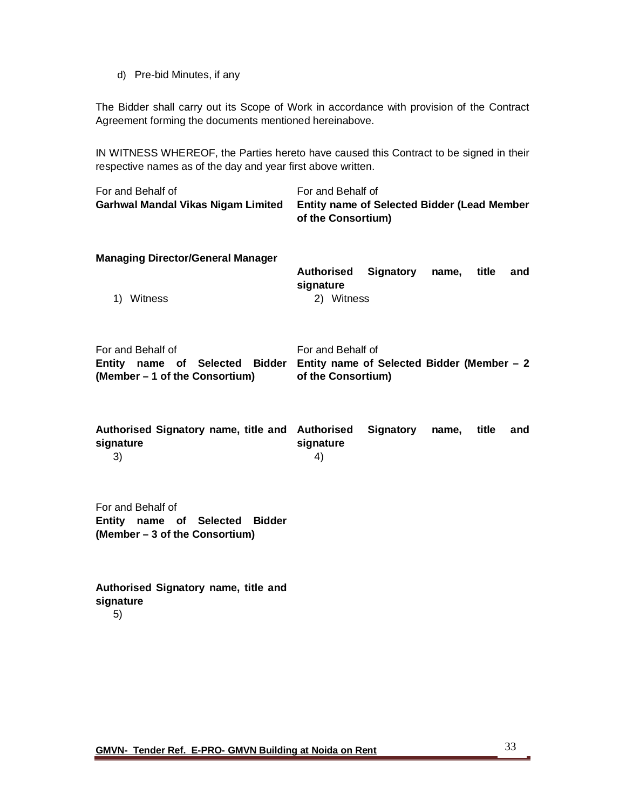d) Pre-bid Minutes, if any

The Bidder shall carry out its Scope of Work in accordance with provision of the Contract Agreement forming the documents mentioned hereinabove.

IN WITNESS WHEREOF, the Parties hereto have caused this Contract to be signed in their respective names as of the day and year first above written.

| For and Behalf of<br>Garhwal Mandal Vikas Nigam Limited                               | For and Behalf of<br>Entity name of Selected Bidder (Lead Member<br>of the Consortium) |           |       |       |     |
|---------------------------------------------------------------------------------------|----------------------------------------------------------------------------------------|-----------|-------|-------|-----|
| <b>Managing Director/General Manager</b><br>Witness<br>1)                             | <b>Authorised</b><br>signature<br>2) Witness                                           | Signatory | name, | title | and |
| For and Behalf of<br>Entity name of Selected Bidder<br>(Member – 1 of the Consortium) | For and Behalf of<br>Entity name of Selected Bidder (Member $-2$<br>of the Consortium) |           |       |       |     |
| Authorised Signatory name, title and Authorised<br>signature<br>3)                    | signature<br>4)                                                                        | Signatory | name, | title | and |
| For and Behalf of<br>Entity name of Selected Bidder<br>(Member – 3 of the Consortium) |                                                                                        |           |       |       |     |

**Authorised Signatory name, title and signature** 5)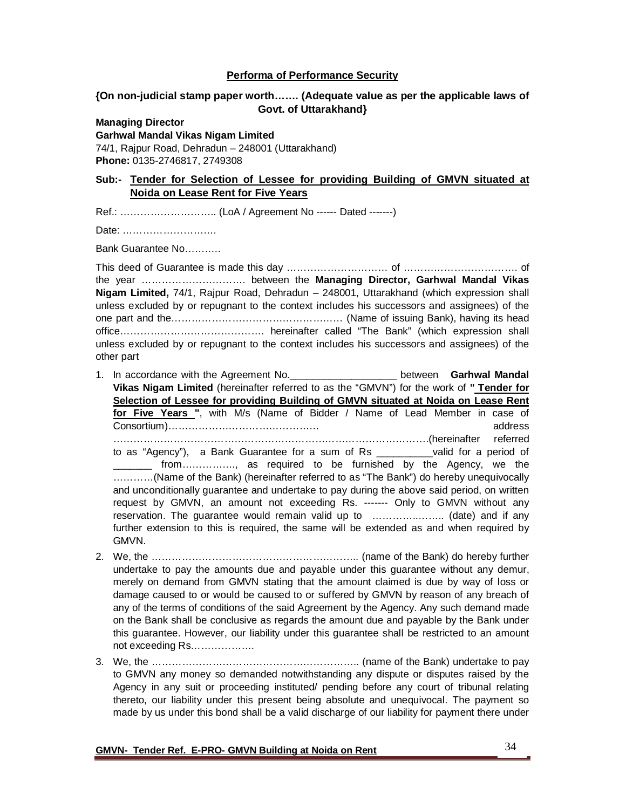#### **Performa of Performance Security**

## **{On non-judicial stamp paper worth……. (Adequate value as per the applicable laws of Govt. of Uttarakhand}**

#### **Managing Director**

#### **Garhwal Mandal Vikas Nigam Limited**

74/1, Rajpur Road, Dehradun – 248001 (Uttarakhand) **Phone:** 0135-2746817, 2749308

## **Sub:- Tender for Selection of Lessee for providing Building of GMVN situated at Noida on Lease Rent for Five Years**

Ref.: ……………………….. (LoA / Agreement No ------ Dated -------)

Date: ……………………….

Bank Guarantee No…….….

This deed of Guarantee is made this day ………………………… of ……………………………. of the year …………………………. between the **Managing Director, Garhwal Mandal Vikas Nigam Limited,** 74/1, Rajpur Road, Dehradun – 248001, Uttarakhand (which expression shall unless excluded by or repugnant to the context includes his successors and assignees) of the one part and the…………………………………………… (Name of issuing Bank), having its head office……………………………………. hereinafter called "The Bank" (which expression shall unless excluded by or repugnant to the context includes his successors and assignees) of the other part

- 1. In accordance with the Agreement No.\_\_\_\_\_\_\_\_\_\_\_\_\_\_\_\_\_\_\_ between **Garhwal Mandal Vikas Nigam Limited** (hereinafter referred to as the "GMVN") for the work of **" Tender for Selection of Lessee for providing Building of GMVN situated at Noida on Lease Rent for Five Years "**, with M/s (Name of Bidder / Name of Lead Member in case of Consortium)……………………………………… address ………………………………………………………………………………….(hereinafter referred to as "Agency"), a Bank Guarantee for a sum of Rs \_\_\_\_\_\_\_\_\_\_valid for a period of \_\_\_\_\_\_\_ from……………., as required to be furnished by the Agency, we the …………(Name of the Bank) (hereinafter referred to as "The Bank") do hereby unequivocally and unconditionally guarantee and undertake to pay during the above said period, on written request by GMVN, an amount not exceeding Rs. ------- Only to GMVN without any reservation. The guarantee would remain valid up to …………..…….. (date) and if any further extension to this is required, the same will be extended as and when required by GMVN.
- 2. We, the …………………………………………………….. (name of the Bank) do hereby further undertake to pay the amounts due and payable under this guarantee without any demur, merely on demand from GMVN stating that the amount claimed is due by way of loss or damage caused to or would be caused to or suffered by GMVN by reason of any breach of any of the terms of conditions of the said Agreement by the Agency. Any such demand made on the Bank shall be conclusive as regards the amount due and payable by the Bank under this guarantee. However, our liability under this guarantee shall be restricted to an amount not exceeding Rs……………….
- 3. We, the …………………………………………………….. (name of the Bank) undertake to pay to GMVN any money so demanded notwithstanding any dispute or disputes raised by the Agency in any suit or proceeding instituted/ pending before any court of tribunal relating thereto, our liability under this present being absolute and unequivocal. The payment so made by us under this bond shall be a valid discharge of our liability for payment there under